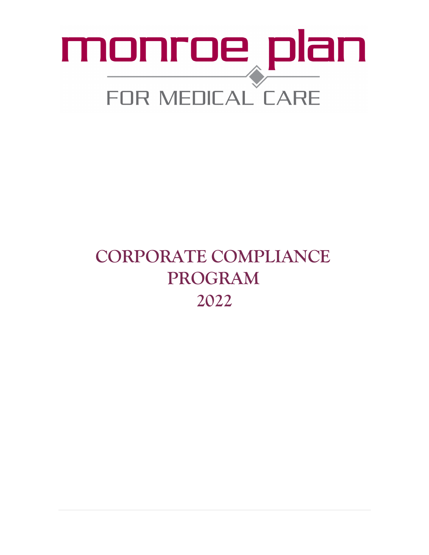# monroe plan FOR MEDICAL CARE

### **CORPORATE COMPLIANCE PROGRAM 2022**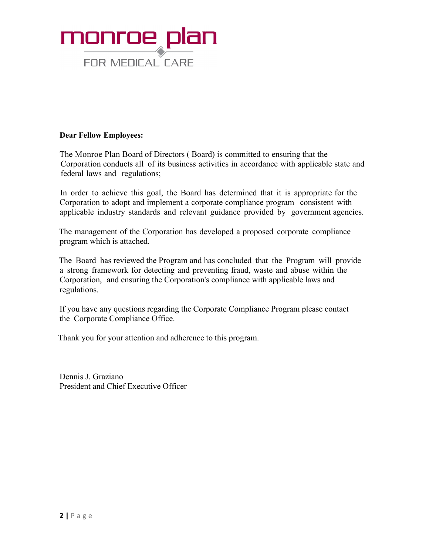

#### **Dear Fellow Employees:**

The Monroe Plan Board of Directors ( Board) is committed to ensuring that the Corporation conducts all of its business activities in accordance with applicable state and federal laws and regulations;

In order to achieve this goal, the Board has determined that it is appropriate for the Corporation to adopt and implement a corporate compliance program consistent with applicable industry standards and relevant guidance provided by government agencies.

 The management of the Corporation has developed a proposed corporate compliance program which is attached.

 The Board has reviewed the Program and has concluded that the Program will provide a strong framework for detecting and preventing fraud, waste and abuse within the Corporation, and ensuring the Corporation's compliance with applicable laws and regulations.

If you have any questions regarding the Corporate Compliance Program please contact the Corporate Compliance Office.

Thank you for your attention and adherence to this program.

Dennis J. Graziano President and Chief Executive Officer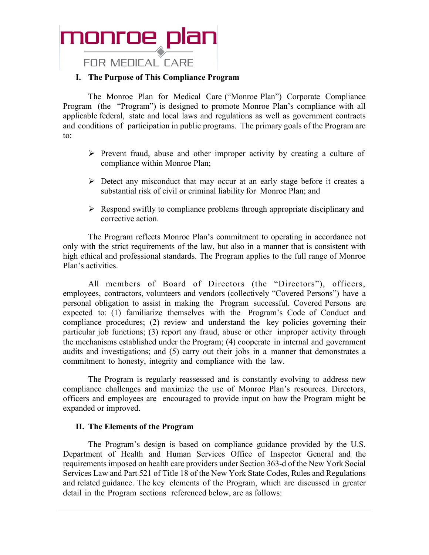

**FOR MEDICAL CARE** 

#### **I. The Purpose of This Compliance Program**

The Monroe Plan for Medical Care ("Monroe Plan") Corporate Compliance Program (the "Program") is designed to promote Monroe Plan's compliance with all applicable federal, state and local laws and regulations as well as government contracts and conditions of participation in public programs. The primary goals of the Program are to:

- $\triangleright$  Prevent fraud, abuse and other improper activity by creating a culture of compliance within Monroe Plan;
- $\triangleright$  Detect any misconduct that may occur at an early stage before it creates a substantial risk of civil or criminal liability for Monroe Plan; and
- $\triangleright$  Respond swiftly to compliance problems through appropriate disciplinary and corrective action.

The Program reflects Monroe Plan's commitment to operating in accordance not only with the strict requirements of the law, but also in a manner that is consistent with high ethical and professional standards. The Program applies to the full range of Monroe Plan's activities.

All members of Board of Directors (the "Directors"), officers, employees, contractors, volunteers and vendors (collectively "Covered Persons") have a personal obligation to assist in making the Program successful. Covered Persons are expected to: (1) familiarize themselves with the Program's Code of Conduct and compliance procedures; (2) review and understand the key policies governing their particular job functions; (3) report any fraud, abuse or other improper activity through the mechanisms established under the Program; (4) cooperate in internal and government audits and investigations; and (5) carry out their jobs in a manner that demonstrates a commitment to honesty, integrity and compliance with the law.

The Program is regularly reassessed and is constantly evolving to address new compliance challenges and maximize the use of Monroe Plan's resources. Directors, officers and employees are encouraged to provide input on how the Program might be expanded or improved.

#### **II. The Elements of the Program**

The Program's design is based on compliance guidance provided by the U.S. Department of Health and Human Services Office of Inspector General and the requirements imposed on health care providers under Section 363-d of the New York Social Services Law and Part 521 of Title 18 of the New York State Codes, Rules and Regulations and related guidance. The key elements of the Program, which are discussed in greater detail in the Program sections referenced below, are as follows: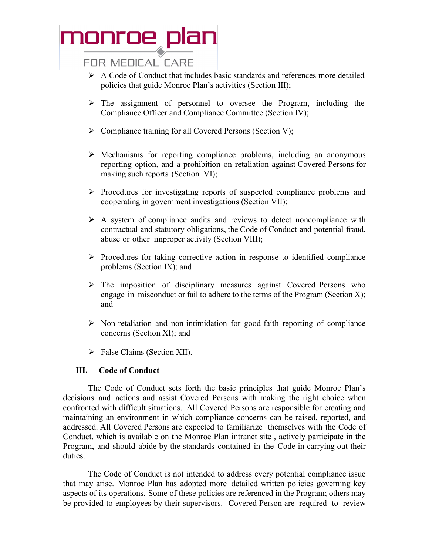#### **FOR MEDICAL CARE**

- $\triangleright$  A Code of Conduct that includes basic standards and references more detailed policies that guide Monroe Plan's activities (Section III);
- $\triangleright$  The assignment of personnel to oversee the Program, including the Compliance Officer and Compliance Committee (Section IV);
- $\triangleright$  Compliance training for all Covered Persons (Section V);
- $\triangleright$  Mechanisms for reporting compliance problems, including an anonymous reporting option, and a prohibition on retaliation against Covered Persons for making such reports (Section VI);
- $\triangleright$  Procedures for investigating reports of suspected compliance problems and cooperating in government investigations (Section VII);
- $\triangleright$  A system of compliance audits and reviews to detect noncompliance with contractual and statutory obligations, the Code of Conduct and potential fraud, abuse or other improper activity (Section VIII);
- $\triangleright$  Procedures for taking corrective action in response to identified compliance problems (Section IX); and
- $\triangleright$  The imposition of disciplinary measures against Covered Persons who engage in misconduct or fail to adhere to the terms of the Program (Section X); and
- $\triangleright$  Non-retaliation and non-intimidation for good-faith reporting of compliance concerns (Section XI); and
- > False Claims (Section XII).

#### **III. Code of Conduct**

The Code of Conduct sets forth the basic principles that guide Monroe Plan's decisions and actions and assist Covered Persons with making the right choice when confronted with difficult situations. All Covered Persons are responsible for creating and maintaining an environment in which compliance concerns can be raised, reported, and addressed. All Covered Persons are expected to familiarize themselves with the Code of Conduct, which is available on the Monroe Plan intranet site , actively participate in the Program, and should abide by the standards contained in the Code in carrying out their duties.

The Code of Conduct is not intended to address every potential compliance issue that may arise. Monroe Plan has adopted more detailed written policies governing key aspects of its operations. Some of these policies are referenced in the Program; others may be provided to employees by their supervisors. Covered Person are required to review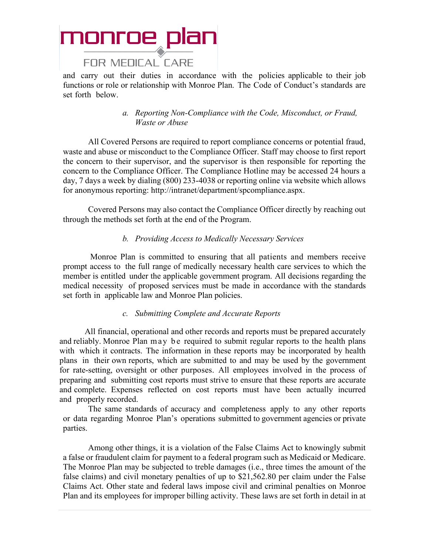

and carry out their duties in accordance with the policies applicable to their job functions or role or relationship with Monroe Plan. The Code of Conduct's standards are set forth below.

#### *a. Reporting Non-Compliance with the Code, Misconduct, or Fraud, Waste or Abuse*

All Covered Persons are required to report compliance concerns or potential fraud, waste and abuse or misconduct to the Compliance Officer. Staff may choose to first report the concern to their supervisor, and the supervisor is then responsible for reporting the concern to the Compliance Officer. The Compliance Hotline may be accessed 24 hours a day, 7 days a week by dialing (800) 233-4038 or reporting online via website which allows for anonymous reporting: http://intranet/department/spcompliance.aspx.

Covered Persons may also contact the Compliance Officer directly by reaching out through the methods set forth at the end of the Program.

#### *b. Providing Access to Medically Necessary Services*

Monroe Plan is committed to ensuring that all patients and members receive prompt access to the full range of medically necessary health care services to which the member is entitled under the applicable government program. All decisions regarding the medical necessity of proposed services must be made in accordance with the standards set forth in applicable law and Monroe Plan policies.

#### *c. Submitting Complete and Accurate Reports*

All financial, operational and other records and reports must be prepared accurately and reliably. Monroe Plan may be required to submit regular reports to the health plans with which it contracts. The information in these reports may be incorporated by health plans in their own reports, which are submitted to and may be used by the government for rate-setting, oversight or other purposes. All employees involved in the process of preparing and submitting cost reports must strive to ensure that these reports are accurate and complete. Expenses reflected on cost reports must have been actually incurred and properly recorded.

The same standards of accuracy and completeness apply to any other reports or data regarding Monroe Plan's operations submitted to government agencies or private parties.

Among other things, it is a violation of the False Claims Act to knowingly submit a false or fraudulent claim for payment to a federal program such as Medicaid or Medicare. The Monroe Plan may be subjected to treble damages (i.e., three times the amount of the false claims) and civil monetary penalties of up to \$21,562.80 per claim under the False Claims Act. Other state and federal laws impose civil and criminal penalties on Monroe Plan and its employees for improper billing activity. These laws are set forth in detail in at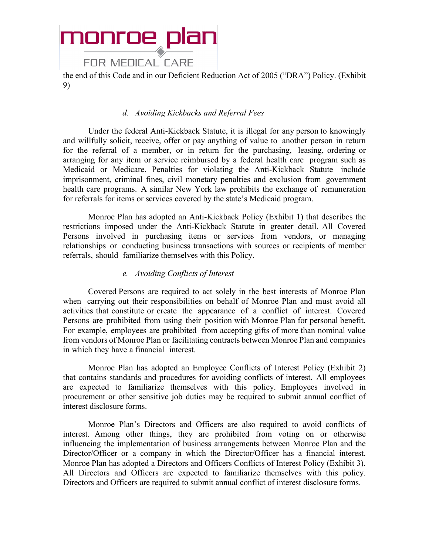#### **FOR MEDICAL CARE**

the end of this Code and in our Deficient Reduction Act of 2005 ("DRA") Policy. (Exhibit 9)

#### *d. Avoiding Kickbacks and Referral Fees*

Under the federal Anti-Kickback Statute, it is illegal for any person to knowingly and willfully solicit, receive, offer or pay anything of value to another person in return for the referral of a member, or in return for the purchasing, leasing, ordering or arranging for any item or service reimbursed by a federal health care program such as Medicaid or Medicare. Penalties for violating the Anti-Kickback Statute include imprisonment, criminal fines, civil monetary penalties and exclusion from government health care programs. A similar New York law prohibits the exchange of remuneration for referrals for items or services covered by the state's Medicaid program.

Monroe Plan has adopted an Anti-Kickback Policy (Exhibit 1) that describes the restrictions imposed under the Anti-Kickback Statute in greater detail. All Covered Persons involved in purchasing items or services from vendors, or managing relationships or conducting business transactions with sources or recipients of member referrals, should familiarize themselves with this Policy.

#### *e. Avoiding Conflicts of Interest*

Covered Persons are required to act solely in the best interests of Monroe Plan when carrying out their responsibilities on behalf of Monroe Plan and must avoid all activities that constitute or create the appearance of a conflict of interest. Covered Persons are prohibited from using their position with Monroe Plan for personal benefit. For example, employees are prohibited from accepting gifts of more than nominal value from vendors of Monroe Plan or facilitating contracts between Monroe Plan and companies in which they have a financial interest.

Monroe Plan has adopted an Employee Conflicts of Interest Policy (Exhibit 2) that contains standards and procedures for avoiding conflicts of interest. All employees are expected to familiarize themselves with this policy. Employees involved in procurement or other sensitive job duties may be required to submit annual conflict of interest disclosure forms.

Monroe Plan's Directors and Officers are also required to avoid conflicts of interest. Among other things, they are prohibited from voting on or otherwise influencing the implementation of business arrangements between Monroe Plan and the Director/Officer or a company in which the Director/Officer has a financial interest. Monroe Plan has adopted a Directors and Officers Conflicts of Interest Policy (Exhibit 3). All Directors and Officers are expected to familiarize themselves with this policy. Directors and Officers are required to submit annual conflict of interest disclosure forms.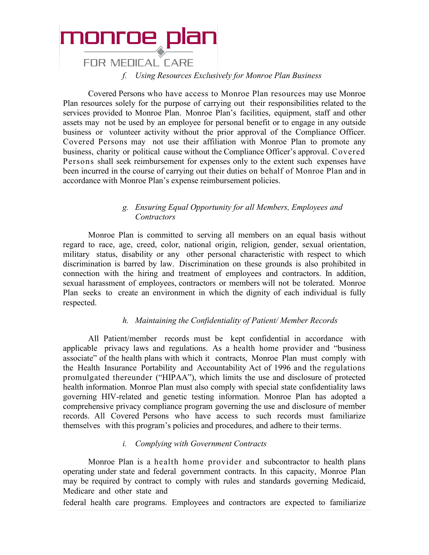

**FOR MEDICAL CARE** 

*f. Using Resources Exclusively for Monroe Plan Business*

Covered Persons who have access to Monroe Plan resources may use Monroe Plan resources solely for the purpose of carrying out their responsibilities related to the services provided to Monroe Plan. Monroe Plan's facilities, equipment, staff and other assets may not be used by an employee for personal benefit or to engage in any outside business or volunteer activity without the prior approval of the Compliance Officer. Covered Persons may not use their affiliation with Monroe Plan to promote any business, charity or political cause without the Compliance Officer's approval. Covered Persons shall seek reimbursement for expenses only to the extent such expenses have been incurred in the course of carrying out their duties on behalf of Monroe Plan and in accordance with Monroe Plan's expense reimbursement policies.

#### *g. Ensuring Equal Opportunity for all Members, Employees and Contractors*

Monroe Plan is committed to serving all members on an equal basis without regard to race, age, creed, color, national origin, religion, gender, sexual orientation, military status, disability or any other personal characteristic with respect to which discrimination is barred by law. Discrimination on these grounds is also prohibited in connection with the hiring and treatment of employees and contractors. In addition, sexual harassment of employees, contractors or members will not be tolerated. Monroe Plan seeks to create an environment in which the dignity of each individual is fully respected.

#### *h. Maintaining the Confidentiality of Patient/ Member Records*

All Patient/member records must be kept confidential in accordance with applicable privacy laws and regulations. As a health home provider and "business associate" of the health plans with which it contracts, Monroe Plan must comply with the Health Insurance Portability and Accountability Act of 1996 and the regulations promulgated thereunder ("HIPAA"), which limits the use and disclosure of protected health information. Monroe Plan must also comply with special state confidentiality laws governing HIV-related and genetic testing information. Monroe Plan has adopted a comprehensive privacy compliance program governing the use and disclosure of member records. All Covered Persons who have access to such records must familiarize themselves with this program's policies and procedures, and adhere to their terms.

#### *i. Complying with Government Contracts*

Monroe Plan is a health home provider and subcontractor to health plans operating under state and federal government contracts. In this capacity, Monroe Plan may be required by contract to comply with rules and standards governing Medicaid, Medicare and other state and

federal health care programs. Employees and contractors are expected to familiarize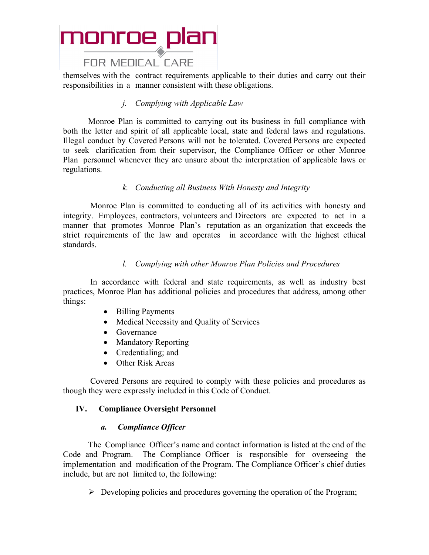#### **FOR MEDICAL CARE**

themselves with the contract requirements applicable to their duties and carry out their responsibilities in a manner consistent with these obligations.

#### *j. Complying with Applicable Law*

Monroe Plan is committed to carrying out its business in full compliance with both the letter and spirit of all applicable local, state and federal laws and regulations. Illegal conduct by Covered Persons will not be tolerated. Covered Persons are expected to seek clarification from their supervisor, the Compliance Officer or other Monroe Plan personnel whenever they are unsure about the interpretation of applicable laws or regulations.

#### *k. Conducting all Business With Honesty and Integrity*

Monroe Plan is committed to conducting all of its activities with honesty and integrity. Employees, contractors, volunteers and Directors are expected to act in a manner that promotes Monroe Plan's reputation as an organization that exceeds the strict requirements of the law and operates in accordance with the highest ethical standards.

#### *l. Complying with other Monroe Plan Policies and Procedures*

In accordance with federal and state requirements, as well as industry best practices, Monroe Plan has additional policies and procedures that address, among other things:

- Billing Payments
- Medical Necessity and Quality of Services
- Governance
- Mandatory Reporting
- Credentialing; and
- Other Risk Areas

Covered Persons are required to comply with these policies and procedures as though they were expressly included in this Code of Conduct.

#### **IV. Compliance Oversight Personnel**

#### *a. Compliance Officer*

The Compliance Officer's name and contact information is listed at the end of the Code and Program. The Compliance Officer is responsible for overseeing the implementation and modification of the Program. The Compliance Officer's chief duties include, but are not limited to, the following:

 $\triangleright$  Developing policies and procedures governing the operation of the Program;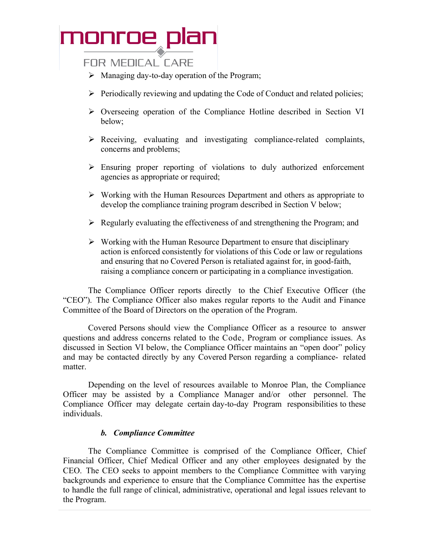#### **FOR MEDICAL CARE**

- $\triangleright$  Managing day-to-day operation of the Program;
- $\triangleright$  Periodically reviewing and updating the Code of Conduct and related policies;
- Overseeing operation of the Compliance Hotline described in Section VI below;
- $\triangleright$  Receiving, evaluating and investigating compliance-related complaints, concerns and problems;
- $\triangleright$  Ensuring proper reporting of violations to duly authorized enforcement agencies as appropriate or required;
- $\triangleright$  Working with the Human Resources Department and others as appropriate to develop the compliance training program described in Section V below;
- $\triangleright$  Regularly evaluating the effectiveness of and strengthening the Program; and
- $\triangleright$  Working with the Human Resource Department to ensure that disciplinary action is enforced consistently for violations of this Code or law or regulations and ensuring that no Covered Person is retaliated against for, in good-faith, raising a compliance concern or participating in a compliance investigation.

The Compliance Officer reports directly to the Chief Executive Officer (the "CEO"). The Compliance Officer also makes regular reports to the Audit and Finance Committee of the Board of Directors on the operation of the Program.

Covered Persons should view the Compliance Officer as a resource to answer questions and address concerns related to the Code, Program or compliance issues. As discussed in Section VI below, the Compliance Officer maintains an "open door" policy and may be contacted directly by any Covered Person regarding a compliance- related matter.

Depending on the level of resources available to Monroe Plan, the Compliance Officer may be assisted by a Compliance Manager and/or other personnel. The Compliance Officer may delegate certain day-to-day Program responsibilities to these individuals.

#### *b. Compliance Committee*

The Compliance Committee is comprised of the Compliance Officer, Chief Financial Officer, Chief Medical Officer and any other employees designated by the CEO. The CEO seeks to appoint members to the Compliance Committee with varying backgrounds and experience to ensure that the Compliance Committee has the expertise to handle the full range of clinical, administrative, operational and legal issues relevant to the Program.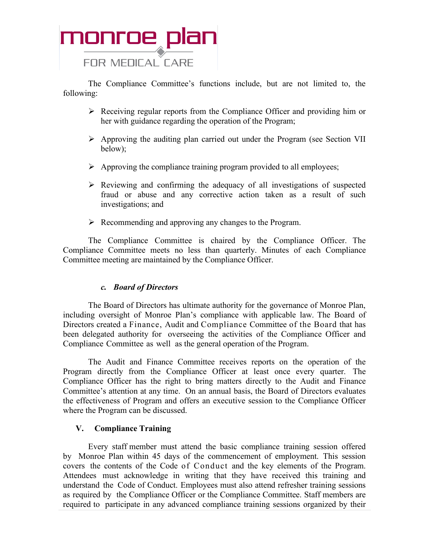

The Compliance Committee's functions include, but are not limited to, the following:

- $\triangleright$  Receiving regular reports from the Compliance Officer and providing him or her with guidance regarding the operation of the Program;
- Approving the auditing plan carried out under the Program (see Section VII below);
- $\triangleright$  Approving the compliance training program provided to all employees;
- $\triangleright$  Reviewing and confirming the adequacy of all investigations of suspected fraud or abuse and any corrective action taken as a result of such investigations; and
- $\triangleright$  Recommending and approving any changes to the Program.

The Compliance Committee is chaired by the Compliance Officer. The Compliance Committee meets no less than quarterly. Minutes of each Compliance Committee meeting are maintained by the Compliance Officer.

#### *c. Board of Directors*

The Board of Directors has ultimate authority for the governance of Monroe Plan, including oversight of Monroe Plan's compliance with applicable law. The Board of Directors created a Finance, Audit and Compliance Committee of the Board that has been delegated authority for overseeing the activities of the Compliance Officer and Compliance Committee as well as the general operation of the Program.

The Audit and Finance Committee receives reports on the operation of the Program directly from the Compliance Officer at least once every quarter. The Compliance Officer has the right to bring matters directly to the Audit and Finance Committee's attention at any time. On an annual basis, the Board of Directors evaluates the effectiveness of Program and offers an executive session to the Compliance Officer where the Program can be discussed.

#### **V. Compliance Training**

Every staff member must attend the basic compliance training session offered by Monroe Plan within 45 days of the commencement of employment. This session covers the contents of the Code of Conduct and the key elements of the Program. Attendees must acknowledge in writing that they have received this training and understand the Code of Conduct. Employees must also attend refresher training sessions as required by the Compliance Officer or the Compliance Committee. Staff members are required to participate in any advanced compliance training sessions organized by their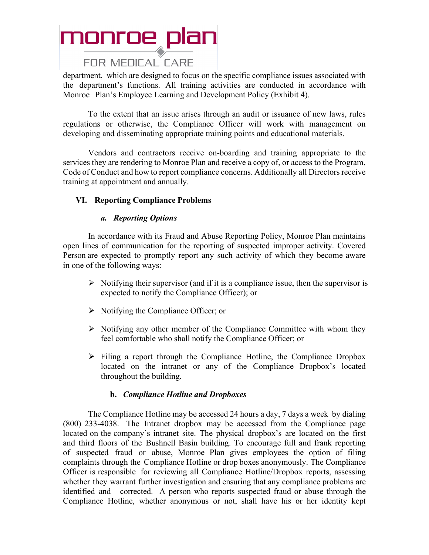#### FOR MEDICAL CARE

department, which are designed to focus on the specific compliance issues associated with the department's functions. All training activities are conducted in accordance with Monroe Plan's Employee Learning and Development Policy (Exhibit 4).

To the extent that an issue arises through an audit or issuance of new laws, rules regulations or otherwise, the Compliance Officer will work with management on developing and disseminating appropriate training points and educational materials.

Vendors and contractors receive on-boarding and training appropriate to the services they are rendering to Monroe Plan and receive a copy of, or access to the Program, Code of Conduct and how to report compliance concerns. Additionally all Directors receive training at appointment and annually.

#### **VI. Reporting Compliance Problems**

#### *a. Reporting Options*

In accordance with its Fraud and Abuse Reporting Policy, Monroe Plan maintains open lines of communication for the reporting of suspected improper activity. Covered Person are expected to promptly report any such activity of which they become aware in one of the following ways:

- $\triangleright$  Notifying their supervisor (and if it is a compliance issue, then the supervisor is expected to notify the Compliance Officer); or
- $\triangleright$  Notifying the Compliance Officer; or
- $\triangleright$  Notifying any other member of the Compliance Committee with whom they feel comfortable who shall notify the Compliance Officer; or
- $\triangleright$  Filing a report through the Compliance Hotline, the Compliance Dropbox located on the intranet or any of the Compliance Dropbox's located throughout the building.

#### **b.** *Compliance Hotline and Dropboxes*

The Compliance Hotline may be accessed 24 hours a day, 7 days a week by dialing (800) 233-4038. The Intranet dropbox may be accessed from the Compliance page located on the company's intranet site. The physical dropbox's are located on the first and third floors of the Bushnell Basin building. To encourage full and frank reporting of suspected fraud or abuse, Monroe Plan gives employees the option of filing complaints through the Compliance Hotline or drop boxes anonymously. The Compliance Officer is responsible for reviewing all Compliance Hotline/Dropbox reports, assessing whether they warrant further investigation and ensuring that any compliance problems are identified and corrected. A person who reports suspected fraud or abuse through the Compliance Hotline, whether anonymous or not, shall have his or her identity kept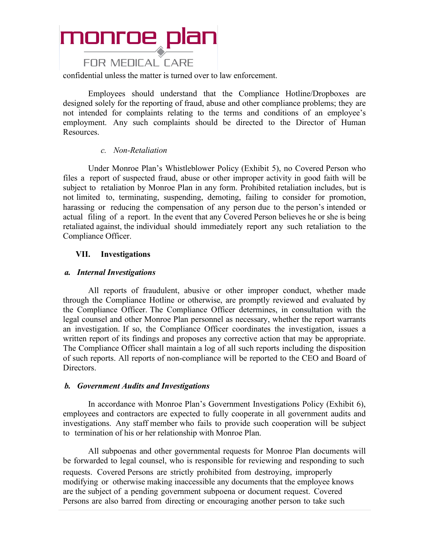#### **FOR MEDICAL CARE**

confidential unless the matter is turned over to law enforcement.

Employees should understand that the Compliance Hotline/Dropboxes are designed solely for the reporting of fraud, abuse and other compliance problems; they are not intended for complaints relating to the terms and conditions of an employee's employment. Any such complaints should be directed to the Director of Human Resources.

#### *c. Non-Retaliation*

Under Monroe Plan's Whistleblower Policy (Exhibit 5), no Covered Person who files a report of suspected fraud, abuse or other improper activity in good faith will be subject to retaliation by Monroe Plan in any form. Prohibited retaliation includes, but is not limited to, terminating, suspending, demoting, failing to consider for promotion, harassing or reducing the compensation of any person due to the person's intended or actual filing of a report. In the event that any Covered Person believes he or she is being retaliated against, the individual should immediately report any such retaliation to the Compliance Officer.

#### **VII. Investigations**

#### *a. Internal Investigations*

All reports of fraudulent, abusive or other improper conduct, whether made through the Compliance Hotline or otherwise, are promptly reviewed and evaluated by the Compliance Officer. The Compliance Officer determines, in consultation with the legal counsel and other Monroe Plan personnel as necessary, whether the report warrants an investigation. If so, the Compliance Officer coordinates the investigation, issues a written report of its findings and proposes any corrective action that may be appropriate. The Compliance Officer shall maintain a log of all such reports including the disposition of such reports. All reports of non-compliance will be reported to the CEO and Board of Directors.

#### *b. Government Audits and Investigations*

In accordance with Monroe Plan's Government Investigations Policy (Exhibit 6), employees and contractors are expected to fully cooperate in all government audits and investigations. Any staff member who fails to provide such cooperation will be subject to termination of his or her relationship with Monroe Plan.

All subpoenas and other governmental requests for Monroe Plan documents will be forwarded to legal counsel, who is responsible for reviewing and responding to such requests. Covered Persons are strictly prohibited from destroying, improperly modifying or otherwise making inaccessible any documents that the employee knows are the subject of a pending government subpoena or document request. Covered Persons are also barred from directing or encouraging another person to take such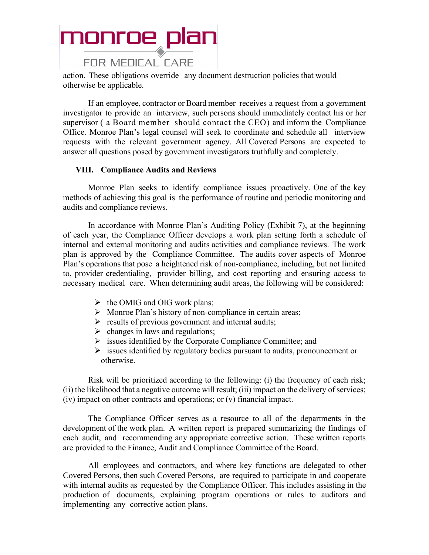### monroe plan FOR MEDICAL CARE

action. These obligations override any document destruction policies that would otherwise be applicable.

If an employee, contractor or Board member receives a request from a government investigator to provide an interview, such persons should immediately contact his or her supervisor ( a Board member should contact the CEO) and inform the Compliance Office. Monroe Plan's legal counsel will seek to coordinate and schedule all interview requests with the relevant government agency. All Covered Persons are expected to answer all questions posed by government investigators truthfully and completely.

#### **VIII. Compliance Audits and Reviews**

Monroe Plan seeks to identify compliance issues proactively. One of the key methods of achieving this goal is the performance of routine and periodic monitoring and audits and compliance reviews.

In accordance with Monroe Plan's Auditing Policy (Exhibit 7), at the beginning of each year, the Compliance Officer develops a work plan setting forth a schedule of internal and external monitoring and audits activities and compliance reviews. The work plan is approved by the Compliance Committee. The audits cover aspects of Monroe Plan's operations that pose a heightened risk of non-compliance, including, but not limited to, provider credentialing, provider billing, and cost reporting and ensuring access to necessary medical care. When determining audit areas, the following will be considered:

- $\triangleright$  the OMIG and OIG work plans;
- $\triangleright$  Monroe Plan's history of non-compliance in certain areas;
- $\triangleright$  results of previous government and internal audits;
- $\triangleright$  changes in laws and regulations;
- $\triangleright$  issues identified by the Corporate Compliance Committee; and
- $\triangleright$  issues identified by regulatory bodies pursuant to audits, pronouncement or otherwise.

Risk will be prioritized according to the following: (i) the frequency of each risk; (ii) the likelihood that a negative outcome will result; (iii) impact on the delivery of services; (iv) impact on other contracts and operations; or (v) financial impact.

The Compliance Officer serves as a resource to all of the departments in the development of the work plan. A written report is prepared summarizing the findings of each audit, and recommending any appropriate corrective action. These written reports are provided to the Finance, Audit and Compliance Committee of the Board.

All employees and contractors, and where key functions are delegated to other Covered Persons, then such Covered Persons, are required to participate in and cooperate with internal audits as requested by the Compliance Officer. This includes assisting in the production of documents, explaining program operations or rules to auditors and implementing any corrective action plans.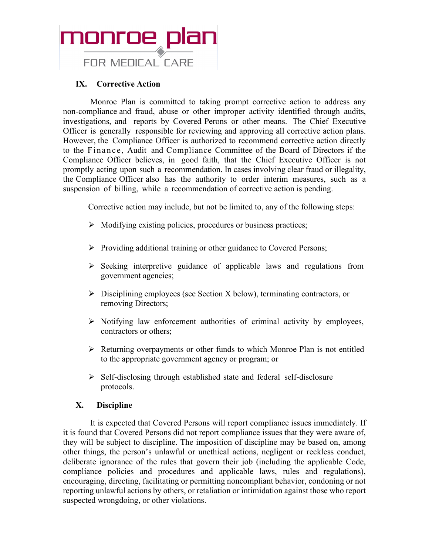

#### **IX. Corrective Action**

Monroe Plan is committed to taking prompt corrective action to address any non-compliance and fraud, abuse or other improper activity identified through audits, investigations, and reports by Covered Perons or other means. The Chief Executive Officer is generally responsible for reviewing and approving all corrective action plans. However, the Compliance Officer is authorized to recommend corrective action directly to the Finance, Audit and Compliance Committee of the Board of Directors if the Compliance Officer believes, in good faith, that the Chief Executive Officer is not promptly acting upon such a recommendation. In cases involving clear fraud or illegality, the Compliance Officer also has the authority to order interim measures, such as a suspension of billing, while a recommendation of corrective action is pending.

Corrective action may include, but not be limited to, any of the following steps:

- $\triangleright$  Modifying existing policies, procedures or business practices;
- $\triangleright$  Providing additional training or other guidance to Covered Persons;
- $\triangleright$  Seeking interpretive guidance of applicable laws and regulations from government agencies;
- $\triangleright$  Disciplining employees (see Section X below), terminating contractors, or removing Directors;
- $\triangleright$  Notifying law enforcement authorities of criminal activity by employees, contractors or others;
- $\triangleright$  Returning overpayments or other funds to which Monroe Plan is not entitled to the appropriate government agency or program; or
- $\triangleright$  Self-disclosing through established state and federal self-disclosure protocols.

#### **X. Discipline**

It is expected that Covered Persons will report compliance issues immediately. If it is found that Covered Persons did not report compliance issues that they were aware of, they will be subject to discipline. The imposition of discipline may be based on, among other things, the person's unlawful or unethical actions, negligent or reckless conduct, deliberate ignorance of the rules that govern their job (including the applicable Code, compliance policies and procedures and applicable laws, rules and regulations), encouraging, directing, facilitating or permitting noncompliant behavior, condoning or not reporting unlawful actions by others, or retaliation or intimidation against those who report suspected wrongdoing, or other violations.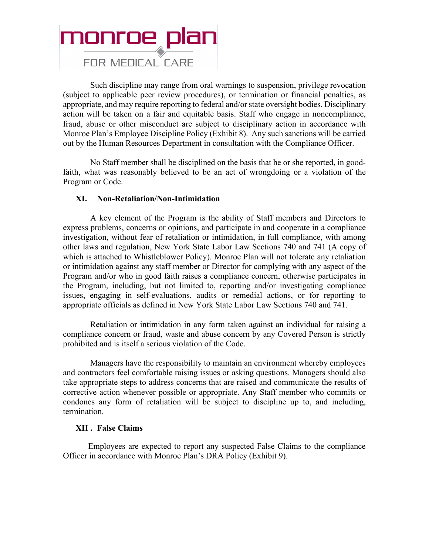### monroe plan **FOR MEDICAL CARE**

Such discipline may range from oral warnings to suspension, privilege revocation (subject to applicable peer review procedures), or termination or financial penalties, as appropriate, and may require reporting to federal and/or state oversight bodies. Disciplinary action will be taken on a fair and equitable basis. Staff who engage in noncompliance, fraud, abuse or other misconduct are subject to disciplinary action in accordance with Monroe Plan's Employee Discipline Policy (Exhibit 8). Any such sanctions will be carried out by the Human Resources Department in consultation with the Compliance Officer.

No Staff member shall be disciplined on the basis that he or she reported, in goodfaith, what was reasonably believed to be an act of wrongdoing or a violation of the Program or Code.

#### **XI. Non-Retaliation/Non-Intimidation**

A key element of the Program is the ability of Staff members and Directors to express problems, concerns or opinions, and participate in and cooperate in a compliance investigation, without fear of retaliation or intimidation, in full compliance, with among other laws and regulation, New York State Labor Law Sections 740 and 741 (A copy of which is attached to Whistleblower Policy). Monroe Plan will not tolerate any retaliation or intimidation against any staff member or Director for complying with any aspect of the Program and/or who in good faith raises a compliance concern, otherwise participates in the Program, including, but not limited to, reporting and/or investigating compliance issues, engaging in self-evaluations, audits or remedial actions, or for reporting to appropriate officials as defined in New York State Labor Law Sections 740 and 741.

Retaliation or intimidation in any form taken against an individual for raising a compliance concern or fraud, waste and abuse concern by any Covered Person is strictly prohibited and is itself a serious violation of the Code.

Managers have the responsibility to maintain an environment whereby employees and contractors feel comfortable raising issues or asking questions. Managers should also take appropriate steps to address concerns that are raised and communicate the results of corrective action whenever possible or appropriate. Any Staff member who commits or condones any form of retaliation will be subject to discipline up to, and including, termination.

#### **XII . False Claims**

Employees are expected to report any suspected False Claims to the compliance Officer in accordance with Monroe Plan's DRA Policy (Exhibit 9).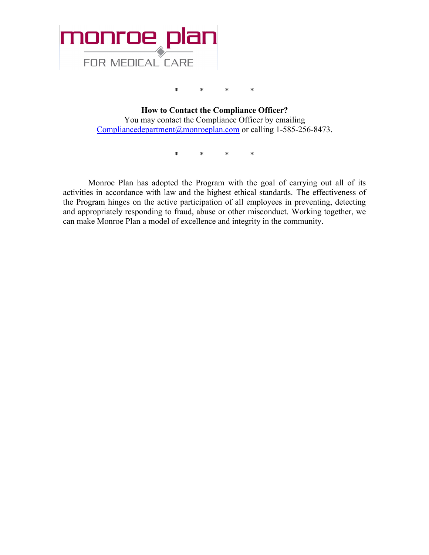

\* \* \* \*

**How to Contact the Compliance Officer?** You may contact the Compliance Officer by emailing [Compliancedepartment@monroeplan.com](mailto:Compliancedepartment@monroeplan.com) or calling 1-585-256-8473.

\* \* \* \*

Monroe Plan has adopted the Program with the goal of carrying out all of its activities in accordance with law and the highest ethical standards. The effectiveness of the Program hinges on the active participation of all employees in preventing, detecting and appropriately responding to fraud, abuse or other misconduct. Working together, we can make Monroe Plan a model of excellence and integrity in the community.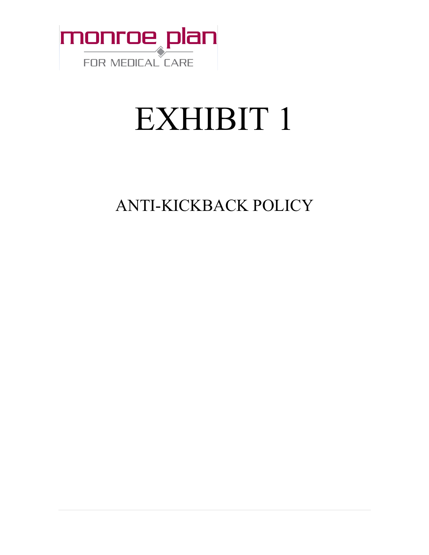

# EXHIBIT 1

ANTI-KICKBACK POLICY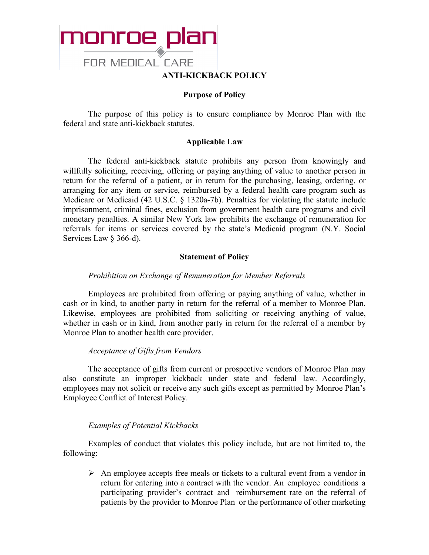

#### **Purpose of Policy**

The purpose of this policy is to ensure compliance by Monroe Plan with the federal and state anti-kickback statutes.

#### **Applicable Law**

The federal anti-kickback statute prohibits any person from knowingly and willfully soliciting, receiving, offering or paying anything of value to another person in return for the referral of a patient, or in return for the purchasing, leasing, ordering, or arranging for any item or service, reimbursed by a federal health care program such as Medicare or Medicaid (42 U.S.C. § 1320a-7b). Penalties for violating the statute include imprisonment, criminal fines, exclusion from government health care programs and civil monetary penalties. A similar New York law prohibits the exchange of remuneration for referrals for items or services covered by the state's Medicaid program (N.Y. Social Services Law § 366-d).

#### **Statement of Policy**

#### *Prohibition on Exchange of Remuneration for Member Referrals*

Employees are prohibited from offering or paying anything of value, whether in cash or in kind, to another party in return for the referral of a member to Monroe Plan. Likewise, employees are prohibited from soliciting or receiving anything of value, whether in cash or in kind, from another party in return for the referral of a member by Monroe Plan to another health care provider.

#### *Acceptance of Gifts from Vendors*

The acceptance of gifts from current or prospective vendors of Monroe Plan may also constitute an improper kickback under state and federal law. Accordingly, employees may not solicit or receive any such gifts except as permitted by Monroe Plan's Employee Conflict of Interest Policy.

#### *Examples of Potential Kickbacks*

Examples of conduct that violates this policy include, but are not limited to, the following:

 $\triangleright$  An employee accepts free meals or tickets to a cultural event from a vendor in return for entering into a contract with the vendor. An employee conditions a participating provider's contract and reimbursement rate on the referral of patients by the provider to Monroe Plan or the performance of other marketing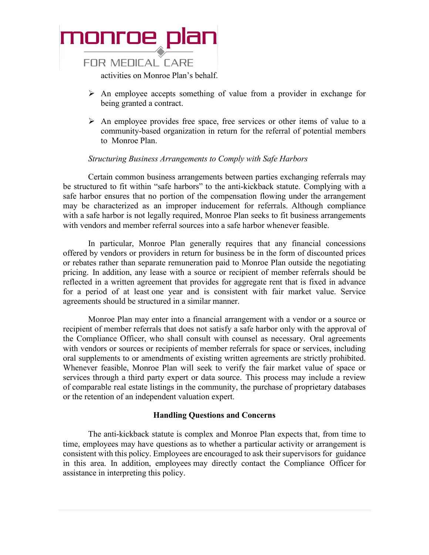

- $\triangleright$  An employee accepts something of value from a provider in exchange for being granted a contract.
- $\triangleright$  An employee provides free space, free services or other items of value to a community-based organization in return for the referral of potential members to Monroe Plan.

#### *Structuring Business Arrangements to Comply with Safe Harbors*

Certain common business arrangements between parties exchanging referrals may be structured to fit within "safe harbors" to the anti-kickback statute. Complying with a safe harbor ensures that no portion of the compensation flowing under the arrangement may be characterized as an improper inducement for referrals. Although compliance with a safe harbor is not legally required, Monroe Plan seeks to fit business arrangements with vendors and member referral sources into a safe harbor whenever feasible.

In particular, Monroe Plan generally requires that any financial concessions offered by vendors or providers in return for business be in the form of discounted prices or rebates rather than separate remuneration paid to Monroe Plan outside the negotiating pricing. In addition, any lease with a source or recipient of member referrals should be reflected in a written agreement that provides for aggregate rent that is fixed in advance for a period of at least one year and is consistent with fair market value. Service agreements should be structured in a similar manner.

Monroe Plan may enter into a financial arrangement with a vendor or a source or recipient of member referrals that does not satisfy a safe harbor only with the approval of the Compliance Officer, who shall consult with counsel as necessary. Oral agreements with vendors or sources or recipients of member referrals for space or services, including oral supplements to or amendments of existing written agreements are strictly prohibited. Whenever feasible, Monroe Plan will seek to verify the fair market value of space or services through a third party expert or data source. This process may include a review of comparable real estate listings in the community, the purchase of proprietary databases or the retention of an independent valuation expert.

#### **Handling Questions and Concerns**

The anti-kickback statute is complex and Monroe Plan expects that, from time to time, employees may have questions as to whether a particular activity or arrangement is consistent with this policy. Employees are encouraged to ask their supervisors for guidance in this area. In addition, employees may directly contact the Compliance Officer for assistance in interpreting this policy.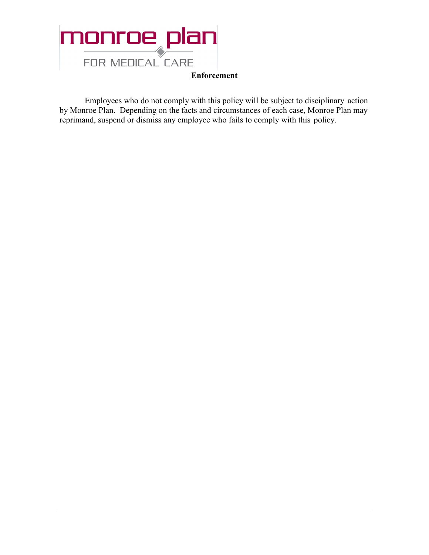

**Enforcement**

Employees who do not comply with this policy will be subject to disciplinary action by Monroe Plan. Depending on the facts and circumstances of each case, Monroe Plan may reprimand, suspend or dismiss any employee who fails to comply with this policy.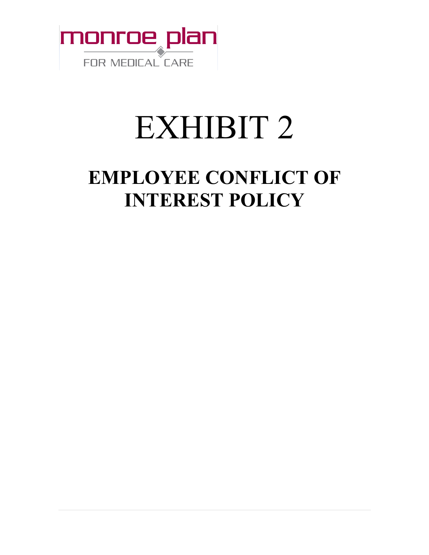

# EXHIBIT 2

### **EMPLOYEE CONFLICT OF INTEREST POLICY**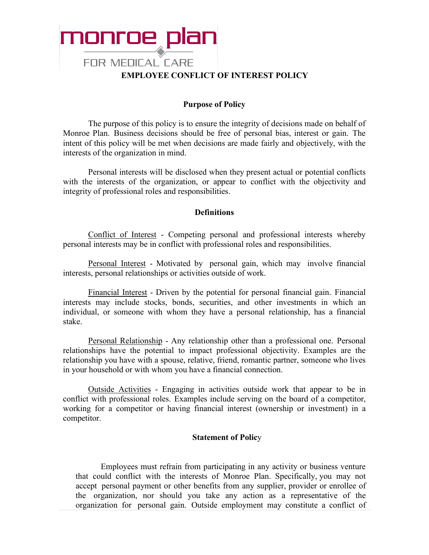

#### **Purpose of Policy**

The purpose of this policy is to ensure the integrity of decisions made on behalf of Monroe Plan. Business decisions should be free of personal bias, interest or gain. The intent of this policy will be met when decisions are made fairly and objectively, with the interests of the organization in mind.

Personal interests will be disclosed when they present actual or potential conflicts with the interests of the organization, or appear to conflict with the objectivity and integrity of professional roles and responsibilities.

#### **Definitions**

Conflict of Interest - Competing personal and professional interests whereby personal interests may be in conflict with professional roles and responsibilities.

Personal Interest - Motivated by personal gain, which may involve financial interests, personal relationships or activities outside of work.

Financial Interest - Driven by the potential for personal financial gain. Financial interests may include stocks, bonds, securities, and other investments in which an individual, or someone with whom they have a personal relationship, has a financial stake.

Personal Relationship - Any relationship other than a professional one. Personal relationships have the potential to impact professional objectivity. Examples are the relationship you have with a spouse, relative, friend, romantic partner, someone who lives in your household or with whom you have a financial connection.

Outside Activities - Engaging in activities outside work that appear to be in conflict with professional roles. Examples include serving on the board of a competitor, working for a competitor or having financial interest (ownership or investment) in a competitor.

#### **Statement of Polic**y

Employees must refrain from participating in any activity or business venture that could conflict with the interests of Monroe Plan. Specifically, you may not accept personal payment or other benefits from any supplier, provider or enrollee of the organization, nor should you take any action as a representative of the organization for personal gain. Outside employment may constitute a conflict of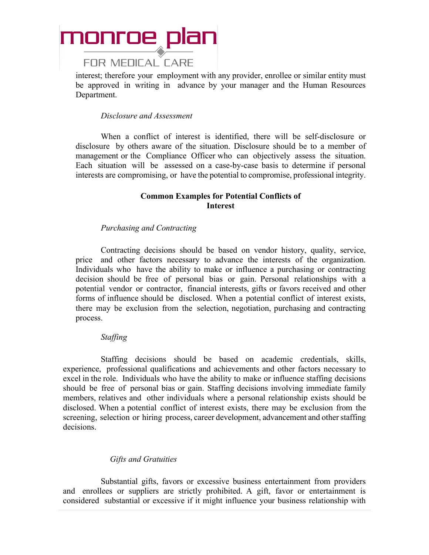

interest; therefore your employment with any provider, enrollee or similar entity must be approved in writing in advance by your manager and the Human Resources Department.

#### *Disclosure and Assessment*

When a conflict of interest is identified, there will be self-disclosure or disclosure by others aware of the situation. Disclosure should be to a member of management or the Compliance Officer who can objectively assess the situation. Each situation will be assessed on a case-by-case basis to determine if personal interests are compromising, or have the potential to compromise, professional integrity.

#### **Common Examples for Potential Conflicts of Interest**

#### *Purchasing and Contracting*

Contracting decisions should be based on vendor history, quality, service, price and other factors necessary to advance the interests of the organization. Individuals who have the ability to make or influence a purchasing or contracting decision should be free of personal bias or gain. Personal relationships with a potential vendor or contractor, financial interests, gifts or favors received and other forms of influence should be disclosed. When a potential conflict of interest exists, there may be exclusion from the selection, negotiation, purchasing and contracting process.

#### *Staffing*

Staffing decisions should be based on academic credentials, skills, experience, professional qualifications and achievements and other factors necessary to excel in the role. Individuals who have the ability to make or influence staffing decisions should be free of personal bias or gain. Staffing decisions involving immediate family members, relatives and other individuals where a personal relationship exists should be disclosed. When a potential conflict of interest exists, there may be exclusion from the screening, selection or hiring process, career development, advancement and other staffing decisions.

#### *Gifts and Gratuities*

Substantial gifts, favors or excessive business entertainment from providers and enrollees or suppliers are strictly prohibited. A gift, favor or entertainment is considered substantial or excessive if it might influence your business relationship with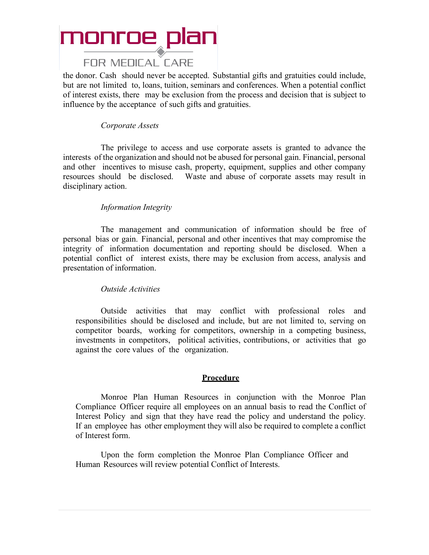#### **FOR MEDICAL CARE**

the donor. Cash should never be accepted. Substantial gifts and gratuities could include, but are not limited to, loans, tuition, seminars and conferences. When a potential conflict of interest exists, there may be exclusion from the process and decision that is subject to influence by the acceptance of such gifts and gratuities.

#### *Corporate Assets*

The privilege to access and use corporate assets is granted to advance the interests of the organization and should not be abused for personal gain. Financial, personal and other incentives to misuse cash, property, equipment, supplies and other company resources should be disclosed. Waste and abuse of corporate assets may result in disciplinary action.

#### *Information Integrity*

The management and communication of information should be free of personal bias or gain. Financial, personal and other incentives that may compromise the integrity of information documentation and reporting should be disclosed. When a potential conflict of interest exists, there may be exclusion from access, analysis and presentation of information.

#### *Outside Activities*

Outside activities that may conflict with professional roles and responsibilities should be disclosed and include, but are not limited to, serving on competitor boards, working for competitors, ownership in a competing business, investments in competitors, political activities, contributions, or activities that go against the core values of the organization.

#### **Procedure**

Monroe Plan Human Resources in conjunction with the Monroe Plan Compliance Officer require all employees on an annual basis to read the Conflict of Interest Policy and sign that they have read the policy and understand the policy. If an employee has other employment they will also be required to complete a conflict of Interest form.

Upon the form completion the Monroe Plan Compliance Officer and Human Resources will review potential Conflict of Interests.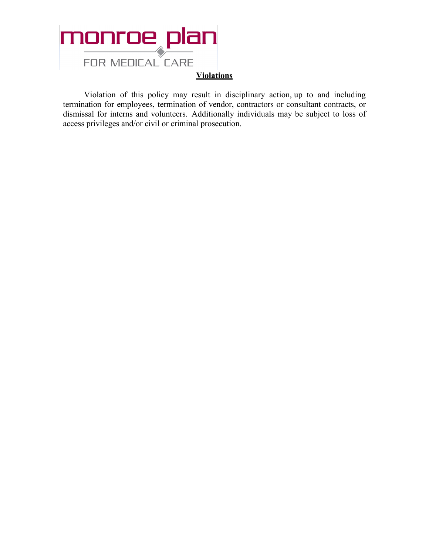

Violation of this policy may result in disciplinary action, up to and including termination for employees, termination of vendor, contractors or consultant contracts, or dismissal for interns and volunteers. Additionally individuals may be subject to loss of access privileges and/or civil or criminal prosecution.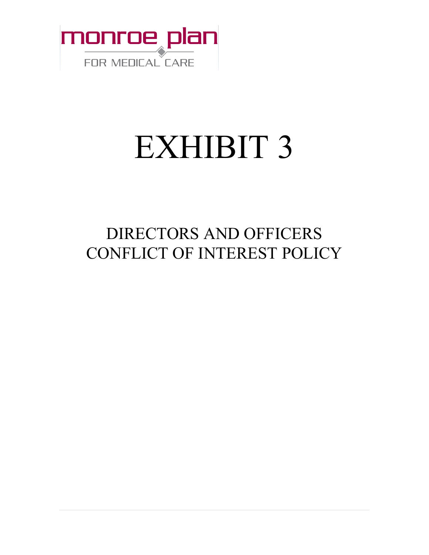

# EXHIBIT 3

### DIRECTORS AND OFFICERS CONFLICT OF INTEREST POLICY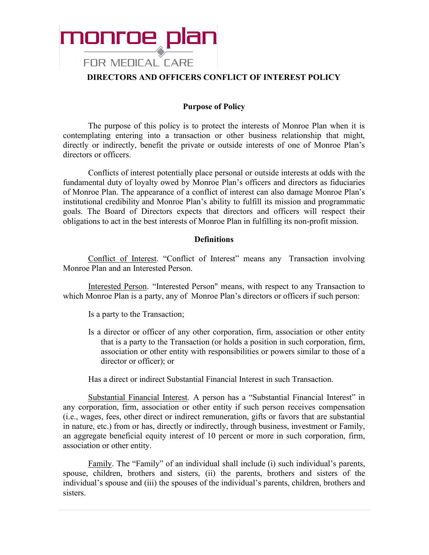

#### **DIRECTORS AND OFFICERS CONFLICT OF INTEREST POLICY**

#### **Purpose of Policy**

The purpose of this policy is to protect the interests of Monroe Plan when it is contemplating entering into a transaction or other business relationship that might, directly or indirectly, benefit the private or outside interests of one of Monroe Plan's directors or officers.

Conflicts of interest potentially place personal or outside interests at odds with the fundamental duty of loyalty owed by Monroe Plan's officers and directors as fiduciaries of Monroe Plan. The appearance of a conflict of interest can also damage Monroe Plan's institutional credibility and Monroe Plan's ability to fulfill its mission and programmatic goals. The Board of Directors expects that directors and officers will respect their obligations to act in the best interests of Monroe Plan in fulfilling its non-profit mission.

#### **Definitions**

Conflict of Interest. "Conflict of Interest" means any Transaction involving Monroe Plan and an Interested Person.

Interested Person. "Interested Person" means, with respect to any Transaction to which Monroe Plan is a party, any of Monroe Plan's directors or officers if such person:

Is a party to the Transaction;

Is a director or officer of any other corporation, firm, association or other entity that is a party to the Transaction (or holds a position in such corporation, firm, association or other entity with responsibilities or powers similar to those of a director or officer); or

Has a direct or indirect Substantial Financial Interest in such Transaction.

Substantial Financial Interest. A person has a "Substantial Financial Interest" in any corporation, firm, association or other entity if such person receives compensation (i.e., wages, fees, other direct or indirect remuneration, gifts or favors that are substantial in nature, etc.) from or has, directly or indirectly, through business, investment or Family, an aggregate beneficial equity interest of 10 percent or more in such corporation, firm, association or other entity.

Family. The "Family" of an individual shall include (i) such individual's parents, spouse, children, brothers and sisters, (ii) the parents, brothers and sisters of the individual's spouse and (iii) the spouses of the individual's parents, children, brothers and sisters.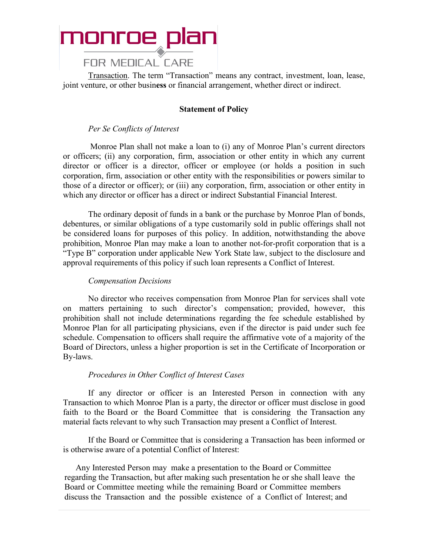

#### **FOR MEDICAL CARE**

Transaction. The term "Transaction" means any contract, investment, loan, lease, joint venture, or other busin**ess** or financial arrangement, whether direct or indirect.

#### **Statement of Policy**

#### *Per Se Conflicts of Interest*

Monroe Plan shall not make a loan to (i) any of Monroe Plan's current directors or officers; (ii) any corporation, firm, association or other entity in which any current director or officer is a director, officer or employee (or holds a position in such corporation, firm, association or other entity with the responsibilities or powers similar to those of a director or officer); or (iii) any corporation, firm, association or other entity in which any director or officer has a direct or indirect Substantial Financial Interest.

The ordinary deposit of funds in a bank or the purchase by Monroe Plan of bonds, debentures, or similar obligations of a type customarily sold in public offerings shall not be considered loans for purposes of this policy. In addition, notwithstanding the above prohibition, Monroe Plan may make a loan to another not-for-profit corporation that is a "Type B" corporation under applicable New York State law, subject to the disclosure and approval requirements of this policy if such loan represents a Conflict of Interest.

#### *Compensation Decisions*

No director who receives compensation from Monroe Plan for services shall vote on matters pertaining to such director's compensation; provided, however, this prohibition shall not include determinations regarding the fee schedule established by Monroe Plan for all participating physicians, even if the director is paid under such fee schedule. Compensation to officers shall require the affirmative vote of a majority of the Board of Directors, unless a higher proportion is set in the Certificate of Incorporation or By-laws.

#### *Procedures in Other Conflict of Interest Cases*

If any director or officer is an Interested Person in connection with any Transaction to which Monroe Plan is a party, the director or officer must disclose in good faith to the Board or the Board Committee that is considering the Transaction any material facts relevant to why such Transaction may present a Conflict of Interest.

If the Board or Committee that is considering a Transaction has been informed or is otherwise aware of a potential Conflict of Interest:

Any Interested Person may make a presentation to the Board or Committee regarding the Transaction, but after making such presentation he or she shall leave the Board or Committee meeting while the remaining Board or Committee members discuss the Transaction and the possible existence of a Conflict of Interest; and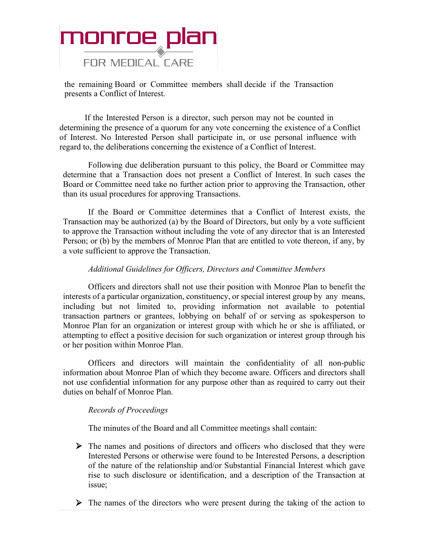

the remaining Board or Committee members shall decide if the Transaction presents a Conflict of Interest.

If the Interested Person is a director, such person may not be counted in determining the presence of a quorum for any vote concerning the existence of a Conflict of Interest. No Interested Person shall participate in, or use personal influence with regard to, the deliberations concerning the existence of a Conflict of Interest.

Following due deliberation pursuant to this policy, the Board or Committee may determine that a Transaction does not present a Conflict of Interest. In such cases the Board or Committee need take no further action prior to approving the Transaction, other than its usual procedures for approving Transactions.

If the Board or Committee determines that a Conflict of Interest exists, the Transaction may be authorized (a) by the Board of Directors, but only by a vote sufficient to approve the Transaction without including the vote of any director that is an Interested Person; or (b) by the members of Monroe Plan that are entitled to vote thereon, if any, by a vote sufficient to approve the Transaction.

#### *Additional Guidelines for Officers, Directors and Committee Members*

Officers and directors shall not use their position with Monroe Plan to benefit the interests of a particular organization, constituency, or special interest group by any means, including but not limited to, providing information not available to potential transaction partners or grantees, lobbying on behalf of or serving as spokesperson to Monroe Plan for an organization or interest group with which he or she is affiliated, or attempting to effect a positive decision for such organization or interest group through his or her position within Monroe Plan.

Officers and directors will maintain the confidentiality of all non-public information about Monroe Plan of which they become aware. Officers and directors shall not use confidential information for any purpose other than as required to carry out their duties on behalf of Monroe Plan.

#### *Records of Proceedings*

The minutes of the Board and all Committee meetings shall contain:

- The names and positions of directors and officers who disclosed that they were Interested Persons or otherwise were found to be Interested Persons, a description of the nature of the relationship and/or Substantial Financial Interest which gave rise to such disclosure or identification, and a description of the Transaction at issue;
- $\triangleright$  The names of the directors who were present during the taking of the action to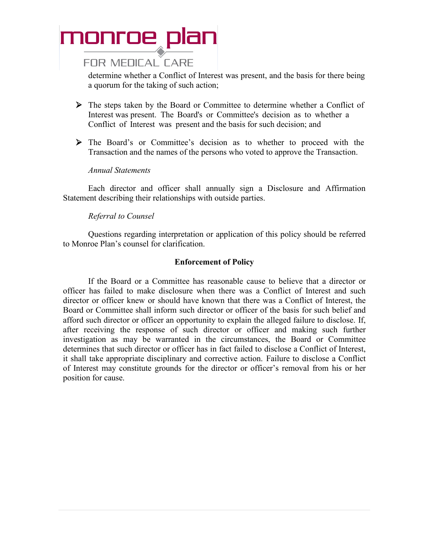#### **FOR MEDICAL CARE**

determine whether a Conflict of Interest was present, and the basis for there being a quorum for the taking of such action;

- The steps taken by the Board or Committee to determine whether a Conflict of Interest was present. The Board's or Committee's decision as to whether a Conflict of Interest was present and the basis for such decision; and
- The Board's or Committee's decision as to whether to proceed with the Transaction and the names of the persons who voted to approve the Transaction.

#### *Annual Statements*

Each director and officer shall annually sign a Disclosure and Affirmation Statement describing their relationships with outside parties.

#### *Referral to Counsel*

Questions regarding interpretation or application of this policy should be referred to Monroe Plan's counsel for clarification.

#### **Enforcement of Policy**

If the Board or a Committee has reasonable cause to believe that a director or officer has failed to make disclosure when there was a Conflict of Interest and such director or officer knew or should have known that there was a Conflict of Interest, the Board or Committee shall inform such director or officer of the basis for such belief and afford such director or officer an opportunity to explain the alleged failure to disclose. If, after receiving the response of such director or officer and making such further investigation as may be warranted in the circumstances, the Board or Committee determines that such director or officer has in fact failed to disclose a Conflict of Interest, it shall take appropriate disciplinary and corrective action. Failure to disclose a Conflict of Interest may constitute grounds for the director or officer's removal from his or her position for cause.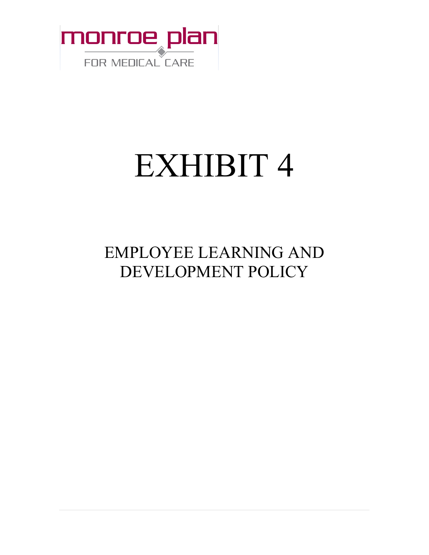

# EXHIBIT 4

### EMPLOYEE LEARNING AND DEVELOPMENT POLICY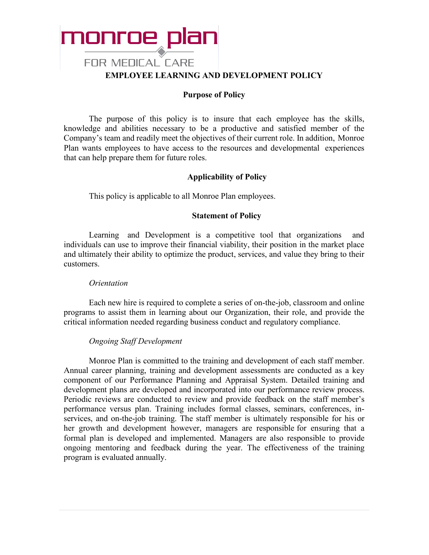

#### **Purpose of Policy**

The purpose of this policy is to insure that each employee has the skills, knowledge and abilities necessary to be a productive and satisfied member of the Company's team and readily meet the objectives of their current role. In addition, Monroe Plan wants employees to have access to the resources and developmental experiences that can help prepare them for future roles.

#### **Applicability of Policy**

This policy is applicable to all Monroe Plan employees.

#### **Statement of Policy**

Learning and Development is a competitive tool that organizations individuals can use to improve their financial viability, their position in the market place and ultimately their ability to optimize the product, services, and value they bring to their customers.

#### *Orientation*

Each new hire is required to complete a series of on-the-job, classroom and online programs to assist them in learning about our Organization, their role, and provide the critical information needed regarding business conduct and regulatory compliance.

#### *Ongoing Staff Development*

Monroe Plan is committed to the training and development of each staff member. Annual career planning, training and development assessments are conducted as a key component of our Performance Planning and Appraisal System. Detailed training and development plans are developed and incorporated into our performance review process. Periodic reviews are conducted to review and provide feedback on the staff member's performance versus plan. Training includes formal classes, seminars, conferences, inservices, and on-the-job training. The staff member is ultimately responsible for his or her growth and development however, managers are responsible for ensuring that a formal plan is developed and implemented. Managers are also responsible to provide ongoing mentoring and feedback during the year. The effectiveness of the training program is evaluated annually.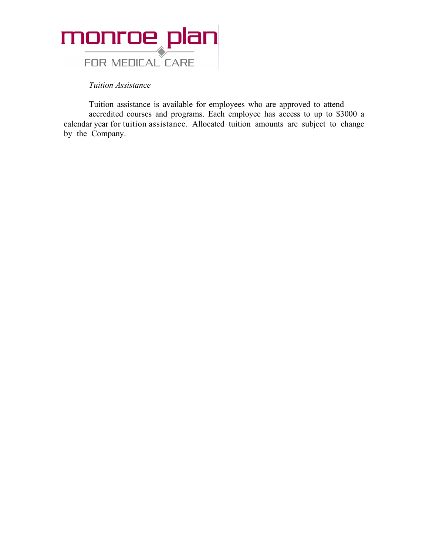

*Tuition Assistance*

Tuition assistance is available for employees who are approved to attend accredited courses and programs. Each employee has access to up to \$3000 a calendar year for tuition assistance. Allocated tuition amounts are subject to change by the Company.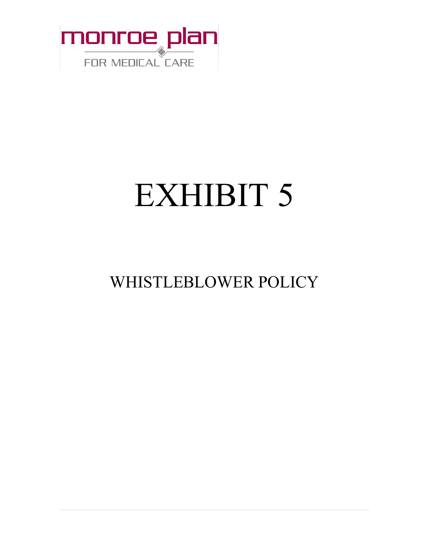

# EXHIBIT 5

### WHISTLEBLOWER POLICY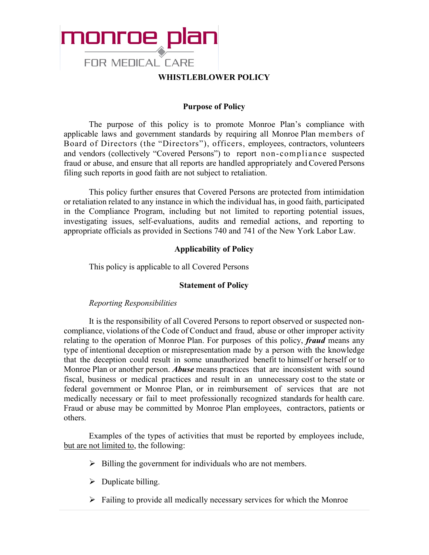

#### **WHISTLEBLOWER POLICY**

#### **Purpose of Policy**

The purpose of this policy is to promote Monroe Plan's compliance with applicable laws and government standards by requiring all Monroe Plan members of Board of Directors (the "Directors"), officers, employees, contractors, volunteers and vendors (collectively "Covered Persons") to report non-compliance suspected fraud or abuse, and ensure that all reports are handled appropriately and Covered Persons filing such reports in good faith are not subject to retaliation.

This policy further ensures that Covered Persons are protected from intimidation or retaliation related to any instance in which the individual has, in good faith, participated in the Compliance Program, including but not limited to reporting potential issues, investigating issues, self-evaluations, audits and remedial actions, and reporting to appropriate officials as provided in Sections 740 and 741 of the New York Labor Law.

#### **Applicability of Policy**

This policy is applicable to all Covered Persons

#### **Statement of Policy**

#### *Reporting Responsibilities*

It is the responsibility of all Covered Persons to report observed or suspected noncompliance, violations of the Code of Conduct and fraud, abuse or other improper activity relating to the operation of Monroe Plan. For purposes of this policy, *fraud* means any type of intentional deception or misrepresentation made by a person with the knowledge that the deception could result in some unauthorized benefit to himself or herself or to Monroe Plan or another person. *Abuse* means practices that are inconsistent with sound fiscal, business or medical practices and result in an unnecessary cost to the state or federal government or Monroe Plan, or in reimbursement of services that are not medically necessary or fail to meet professionally recognized standards for health care. Fraud or abuse may be committed by Monroe Plan employees, contractors, patients or others.

Examples of the types of activities that must be reported by employees include, but are not limited to, the following:

- $\triangleright$  Billing the government for individuals who are not members.
- $\triangleright$  Duplicate billing.
- $\triangleright$  Failing to provide all medically necessary services for which the Monroe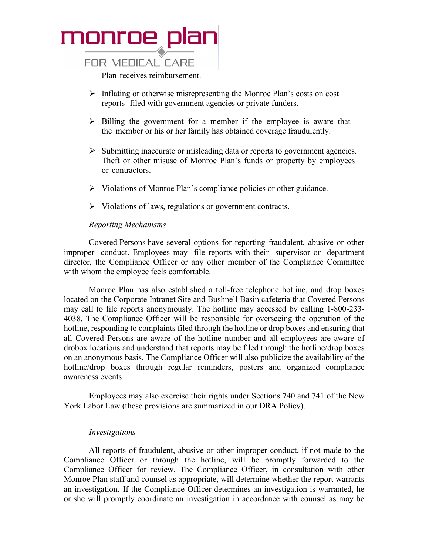

#### **FOR MEDICAL CARE**

Plan receives reimbursement.

- $\triangleright$  Inflating or otherwise misrepresenting the Monroe Plan's costs on cost reports filed with government agencies or private funders.
- $\triangleright$  Billing the government for a member if the employee is aware that the member or his or her family has obtained coverage fraudulently.
- $\triangleright$  Submitting inaccurate or misleading data or reports to government agencies. Theft or other misuse of Monroe Plan's funds or property by employees or contractors.
- $\triangleright$  Violations of Monroe Plan's compliance policies or other guidance.
- $\triangleright$  Violations of laws, regulations or government contracts.

#### *Reporting Mechanisms*

Covered Persons have several options for reporting fraudulent, abusive or other improper conduct. Employees may file reports with their supervisor or department director, the Compliance Officer or any other member of the Compliance Committee with whom the employee feels comfortable.

Monroe Plan has also established a toll-free telephone hotline, and drop boxes located on the Corporate Intranet Site and Bushnell Basin cafeteria that Covered Persons may call to file reports anonymously. The hotline may accessed by calling 1-800-233- 4038. The Compliance Officer will be responsible for overseeing the operation of the hotline, responding to complaints filed through the hotline or drop boxes and ensuring that all Covered Persons are aware of the hotline number and all employees are aware of drobox locations and understand that reports may be filed through the hotline/drop boxes on an anonymous basis. The Compliance Officer will also publicize the availability of the hotline/drop boxes through regular reminders, posters and organized compliance awareness events.

Employees may also exercise their rights under Sections 740 and 741 of the New York Labor Law (these provisions are summarized in our DRA Policy).

#### *Investigations*

All reports of fraudulent, abusive or other improper conduct, if not made to the Compliance Officer or through the hotline, will be promptly forwarded to the Compliance Officer for review. The Compliance Officer, in consultation with other Monroe Plan staff and counsel as appropriate, will determine whether the report warrants an investigation. If the Compliance Officer determines an investigation is warranted, he or she will promptly coordinate an investigation in accordance with counsel as may be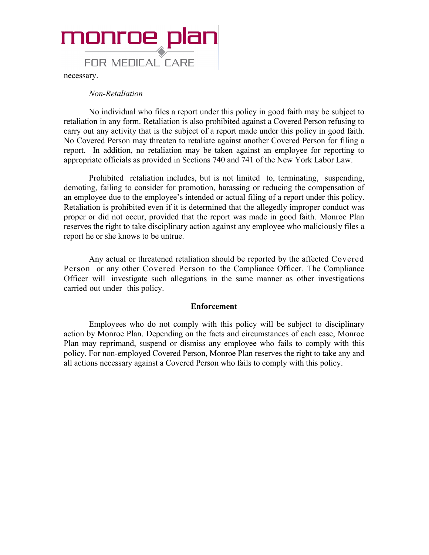

necessary.

#### *Non-Retaliation*

No individual who files a report under this policy in good faith may be subject to retaliation in any form. Retaliation is also prohibited against a Covered Person refusing to carry out any activity that is the subject of a report made under this policy in good faith. No Covered Person may threaten to retaliate against another Covered Person for filing a report. In addition, no retaliation may be taken against an employee for reporting to appropriate officials as provided in Sections 740 and 741 of the New York Labor Law.

Prohibited retaliation includes, but is not limited to, terminating, suspending, demoting, failing to consider for promotion, harassing or reducing the compensation of an employee due to the employee's intended or actual filing of a report under this policy. Retaliation is prohibited even if it is determined that the allegedly improper conduct was proper or did not occur, provided that the report was made in good faith. Monroe Plan reserves the right to take disciplinary action against any employee who maliciously files a report he or she knows to be untrue.

Any actual or threatened retaliation should be reported by the affected Covered Person or any other Covered Person to the Compliance Officer. The Compliance Officer will investigate such allegations in the same manner as other investigations carried out under this policy.

#### **Enforcement**

Employees who do not comply with this policy will be subject to disciplinary action by Monroe Plan. Depending on the facts and circumstances of each case, Monroe Plan may reprimand, suspend or dismiss any employee who fails to comply with this policy. For non-employed Covered Person, Monroe Plan reserves the right to take any and all actions necessary against a Covered Person who fails to comply with this policy.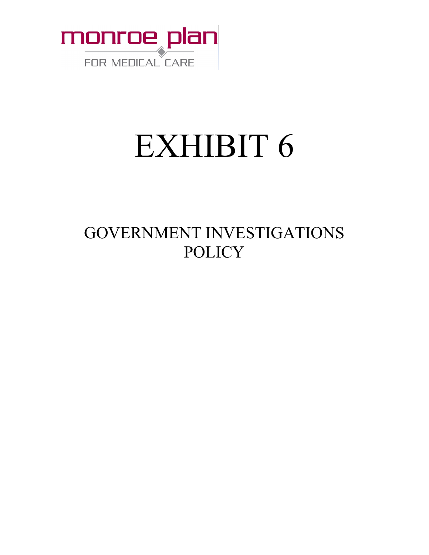

# EXHIBIT 6

### GOVERNMENT INVESTIGATIONS **POLICY**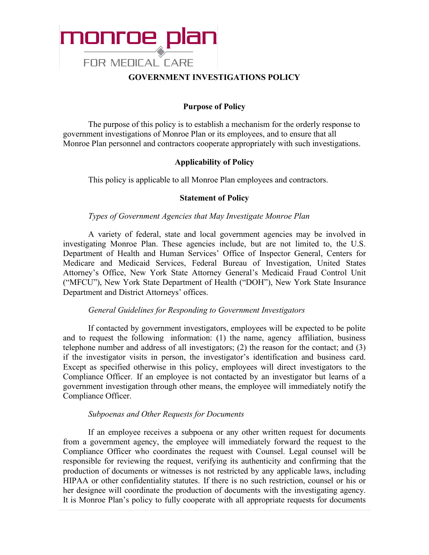

#### **GOVERNMENT INVESTIGATIONS POLICY**

#### **Purpose of Policy**

The purpose of this policy is to establish a mechanism for the orderly response to government investigations of Monroe Plan or its employees, and to ensure that all Monroe Plan personnel and contractors cooperate appropriately with such investigations.

#### **Applicability of Policy**

This policy is applicable to all Monroe Plan employees and contractors.

#### **Statement of Policy**

#### *Types of Government Agencies that May Investigate Monroe Plan*

A variety of federal, state and local government agencies may be involved in investigating Monroe Plan. These agencies include, but are not limited to, the U.S. Department of Health and Human Services' Office of Inspector General, Centers for Medicare and Medicaid Services, Federal Bureau of Investigation, United States Attorney's Office, New York State Attorney General's Medicaid Fraud Control Unit ("MFCU"), New York State Department of Health ("DOH"), New York State Insurance Department and District Attorneys' offices.

#### *General Guidelines for Responding to Government Investigators*

If contacted by government investigators, employees will be expected to be polite and to request the following information: (1) the name, agency affiliation, business telephone number and address of all investigators; (2) the reason for the contact; and (3) if the investigator visits in person, the investigator's identification and business card. Except as specified otherwise in this policy, employees will direct investigators to the Compliance Officer. If an employee is not contacted by an investigator but learns of a government investigation through other means, the employee will immediately notify the Compliance Officer.

#### *Subpoenas and Other Requests for Documents*

If an employee receives a subpoena or any other written request for documents from a government agency, the employee will immediately forward the request to the Compliance Officer who coordinates the request with Counsel. Legal counsel will be responsible for reviewing the request, verifying its authenticity and confirming that the production of documents or witnesses is not restricted by any applicable laws, including HIPAA or other confidentiality statutes. If there is no such restriction, counsel or his or her designee will coordinate the production of documents with the investigating agency. It is Monroe Plan's policy to fully cooperate with all appropriate requests for documents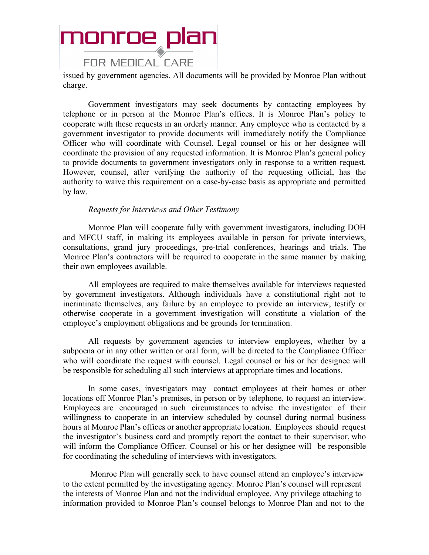### monroe plan **FOR MEDICAL CARE**

issued by government agencies. All documents will be provided by Monroe Plan without charge.

Government investigators may seek documents by contacting employees by telephone or in person at the Monroe Plan's offices. It is Monroe Plan's policy to cooperate with these requests in an orderly manner. Any employee who is contacted by a government investigator to provide documents will immediately notify the Compliance Officer who will coordinate with Counsel. Legal counsel or his or her designee will coordinate the provision of any requested information. It is Monroe Plan's general policy to provide documents to government investigators only in response to a written request. However, counsel, after verifying the authority of the requesting official, has the authority to waive this requirement on a case-by-case basis as appropriate and permitted by law.

#### *Requests for Interviews and Other Testimony*

Monroe Plan will cooperate fully with government investigators, including DOH and MFCU staff, in making its employees available in person for private interviews, consultations, grand jury proceedings, pre-trial conferences, hearings and trials. The Monroe Plan's contractors will be required to cooperate in the same manner by making their own employees available.

All employees are required to make themselves available for interviews requested by government investigators. Although individuals have a constitutional right not to incriminate themselves, any failure by an employee to provide an interview, testify or otherwise cooperate in a government investigation will constitute a violation of the employee's employment obligations and be grounds for termination.

All requests by government agencies to interview employees, whether by a subpoena or in any other written or oral form, will be directed to the Compliance Officer who will coordinate the request with counsel. Legal counsel or his or her designee will be responsible for scheduling all such interviews at appropriate times and locations.

In some cases, investigators may contact employees at their homes or other locations off Monroe Plan's premises, in person or by telephone, to request an interview. Employees are encouraged in such circumstances to advise the investigator of their willingness to cooperate in an interview scheduled by counsel during normal business hours at Monroe Plan's offices or another appropriate location. Employees should request the investigator's business card and promptly report the contact to their supervisor, who will inform the Compliance Officer. Counsel or his or her designee will be responsible for coordinating the scheduling of interviews with investigators.

Monroe Plan will generally seek to have counsel attend an employee's interview to the extent permitted by the investigating agency. Monroe Plan's counsel will represent the interests of Monroe Plan and not the individual employee. Any privilege attaching to information provided to Monroe Plan's counsel belongs to Monroe Plan and not to the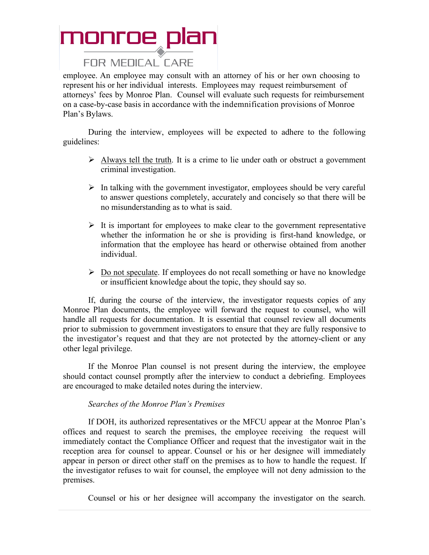#### **FOR MEDICAL CARE**

employee. An employee may consult with an attorney of his or her own choosing to represent his or her individual interests. Employees may request reimbursement of attorneys' fees by Monroe Plan. Counsel will evaluate such requests for reimbursement on a case-by-case basis in accordance with the indemnification provisions of Monroe Plan's Bylaws.

During the interview, employees will be expected to adhere to the following guidelines:

- $\triangleright$  Always tell the truth. It is a crime to lie under oath or obstruct a government criminal investigation.
- $\triangleright$  In talking with the government investigator, employees should be very careful to answer questions completely, accurately and concisely so that there will be no misunderstanding as to what is said.
- $\triangleright$  It is important for employees to make clear to the government representative whether the information he or she is providing is first-hand knowledge, or information that the employee has heard or otherwise obtained from another individual.
- $\triangleright$  Do not speculate. If employees do not recall something or have no knowledge or insufficient knowledge about the topic, they should say so.

If, during the course of the interview, the investigator requests copies of any Monroe Plan documents, the employee will forward the request to counsel, who will handle all requests for documentation. It is essential that counsel review all documents prior to submission to government investigators to ensure that they are fully responsive to the investigator's request and that they are not protected by the attorney-client or any other legal privilege.

If the Monroe Plan counsel is not present during the interview, the employee should contact counsel promptly after the interview to conduct a debriefing. Employees are encouraged to make detailed notes during the interview.

#### *Searches of the Monroe Plan's Premises*

If DOH, its authorized representatives or the MFCU appear at the Monroe Plan's offices and request to search the premises, the employee receiving the request will immediately contact the Compliance Officer and request that the investigator wait in the reception area for counsel to appear. Counsel or his or her designee will immediately appear in person or direct other staff on the premises as to how to handle the request. If the investigator refuses to wait for counsel, the employee will not deny admission to the premises.

Counsel or his or her designee will accompany the investigator on the search.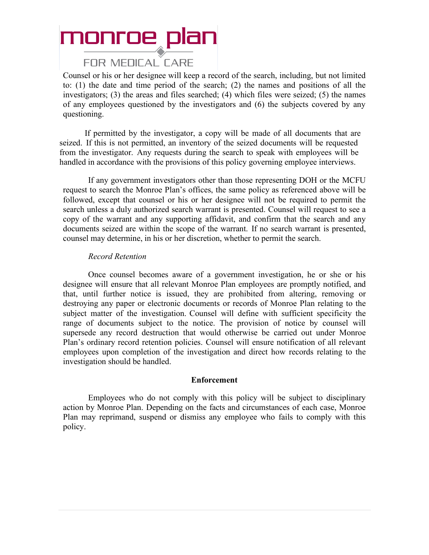#### **FOR MEDICAL CARE**

Counsel or his or her designee will keep a record of the search, including, but not limited to: (1) the date and time period of the search; (2) the names and positions of all the investigators; (3) the areas and files searched; (4) which files were seized; (5) the names of any employees questioned by the investigators and (6) the subjects covered by any questioning.

If permitted by the investigator, a copy will be made of all documents that are seized. If this is not permitted, an inventory of the seized documents will be requested from the investigator. Any requests during the search to speak with employees will be handled in accordance with the provisions of this policy governing employee interviews.

If any government investigators other than those representing DOH or the MCFU request to search the Monroe Plan's offices, the same policy as referenced above will be followed, except that counsel or his or her designee will not be required to permit the search unless a duly authorized search warrant is presented. Counsel will request to see a copy of the warrant and any supporting affidavit, and confirm that the search and any documents seized are within the scope of the warrant. If no search warrant is presented, counsel may determine, in his or her discretion, whether to permit the search.

#### *Record Retention*

Once counsel becomes aware of a government investigation, he or she or his designee will ensure that all relevant Monroe Plan employees are promptly notified, and that, until further notice is issued, they are prohibited from altering, removing or destroying any paper or electronic documents or records of Monroe Plan relating to the subject matter of the investigation. Counsel will define with sufficient specificity the range of documents subject to the notice. The provision of notice by counsel will supersede any record destruction that would otherwise be carried out under Monroe Plan's ordinary record retention policies. Counsel will ensure notification of all relevant employees upon completion of the investigation and direct how records relating to the investigation should be handled.

#### **Enforcement**

Employees who do not comply with this policy will be subject to disciplinary action by Monroe Plan. Depending on the facts and circumstances of each case, Monroe Plan may reprimand, suspend or dismiss any employee who fails to comply with this policy.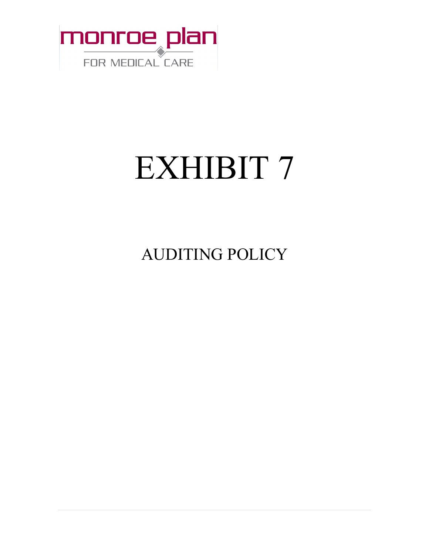

# EXHIBIT 7

AUDITING POLICY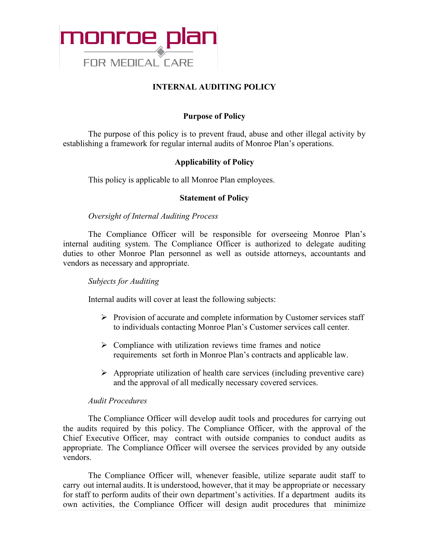

#### **INTERNAL AUDITING POLICY**

#### **Purpose of Policy**

The purpose of this policy is to prevent fraud, abuse and other illegal activity by establishing a framework for regular internal audits of Monroe Plan's operations.

#### **Applicability of Policy**

This policy is applicable to all Monroe Plan employees.

#### **Statement of Policy**

#### *Oversight of Internal Auditing Process*

The Compliance Officer will be responsible for overseeing Monroe Plan's internal auditing system. The Compliance Officer is authorized to delegate auditing duties to other Monroe Plan personnel as well as outside attorneys, accountants and vendors as necessary and appropriate.

#### *Subjects for Auditing*

Internal audits will cover at least the following subjects:

- $\triangleright$  Provision of accurate and complete information by Customer services staff to individuals contacting Monroe Plan's Customer services call center.
- $\triangleright$  Compliance with utilization reviews time frames and notice requirements set forth in Monroe Plan's contracts and applicable law.
- $\triangleright$  Appropriate utilization of health care services (including preventive care) and the approval of all medically necessary covered services.

#### *Audit Procedures*

The Compliance Officer will develop audit tools and procedures for carrying out the audits required by this policy. The Compliance Officer, with the approval of the Chief Executive Officer, may contract with outside companies to conduct audits as appropriate. The Compliance Officer will oversee the services provided by any outside vendors.

The Compliance Officer will, whenever feasible, utilize separate audit staff to carry out internal audits. It is understood, however, that it may be appropriate or necessary for staff to perform audits of their own department's activities. If a department audits its own activities, the Compliance Officer will design audit procedures that minimize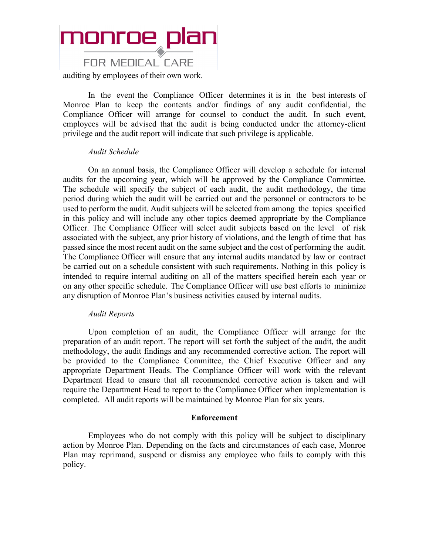### monroe plan **FOR MEDICAL CARE** auditing by employees of their own work.

In the event the Compliance Officer determines it is in the best interests of Monroe Plan to keep the contents and/or findings of any audit confidential, the Compliance Officer will arrange for counsel to conduct the audit. In such event, employees will be advised that the audit is being conducted under the attorney-client privilege and the audit report will indicate that such privilege is applicable.

#### *Audit Schedule*

On an annual basis, the Compliance Officer will develop a schedule for internal audits for the upcoming year, which will be approved by the Compliance Committee. The schedule will specify the subject of each audit, the audit methodology, the time period during which the audit will be carried out and the personnel or contractors to be used to perform the audit. Audit subjects will be selected from among the topics specified in this policy and will include any other topics deemed appropriate by the Compliance Officer. The Compliance Officer will select audit subjects based on the level of risk associated with the subject, any prior history of violations, and the length of time that has passed since the most recent audit on the same subject and the cost of performing the audit. The Compliance Officer will ensure that any internal audits mandated by law or contract be carried out on a schedule consistent with such requirements. Nothing in this policy is intended to require internal auditing on all of the matters specified herein each year or on any other specific schedule. The Compliance Officer will use best efforts to minimize any disruption of Monroe Plan's business activities caused by internal audits.

#### *Audit Reports*

Upon completion of an audit, the Compliance Officer will arrange for the preparation of an audit report. The report will set forth the subject of the audit, the audit methodology, the audit findings and any recommended corrective action. The report will be provided to the Compliance Committee, the Chief Executive Officer and any appropriate Department Heads. The Compliance Officer will work with the relevant Department Head to ensure that all recommended corrective action is taken and will require the Department Head to report to the Compliance Officer when implementation is completed. All audit reports will be maintained by Monroe Plan for six years.

#### **Enforcement**

Employees who do not comply with this policy will be subject to disciplinary action by Monroe Plan. Depending on the facts and circumstances of each case, Monroe Plan may reprimand, suspend or dismiss any employee who fails to comply with this policy.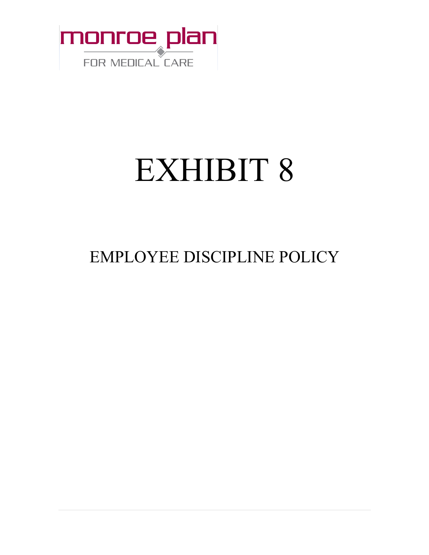

# EXHIBIT 8

### EMPLOYEE DISCIPLINE POLICY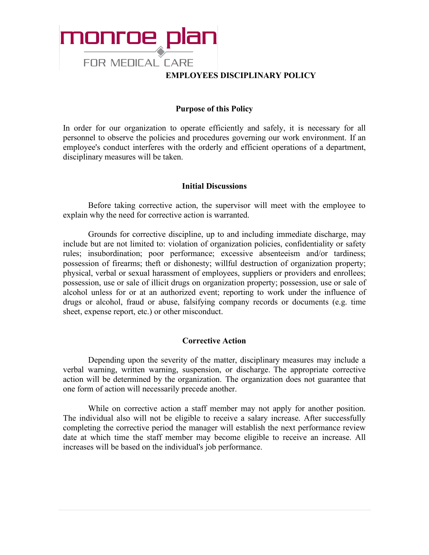

#### **EMPLOYEES DISCIPLINARY POLICY**

#### **Purpose of this Policy**

In order for our organization to operate efficiently and safely, it is necessary for all personnel to observe the policies and procedures governing our work environment. If an employee's conduct interferes with the orderly and efficient operations of a department, disciplinary measures will be taken.

#### **Initial Discussions**

Before taking corrective action, the supervisor will meet with the employee to explain why the need for corrective action is warranted.

Grounds for corrective discipline, up to and including immediate discharge, may include but are not limited to: violation of organization policies, confidentiality or safety rules; insubordination; poor performance; excessive absenteeism and/or tardiness; possession of firearms; theft or dishonesty; willful destruction of organization property; physical, verbal or sexual harassment of employees, suppliers or providers and enrollees; possession, use or sale of illicit drugs on organization property; possession, use or sale of alcohol unless for or at an authorized event; reporting to work under the influence of drugs or alcohol, fraud or abuse, falsifying company records or documents (e.g. time sheet, expense report, etc.) or other misconduct.

#### **Corrective Action**

Depending upon the severity of the matter, disciplinary measures may include a verbal warning, written warning, suspension, or discharge. The appropriate corrective action will be determined by the organization. The organization does not guarantee that one form of action will necessarily precede another.

While on corrective action a staff member may not apply for another position. The individual also will not be eligible to receive a salary increase. After successfully completing the corrective period the manager will establish the next performance review date at which time the staff member may become eligible to receive an increase. All increases will be based on the individual's job performance.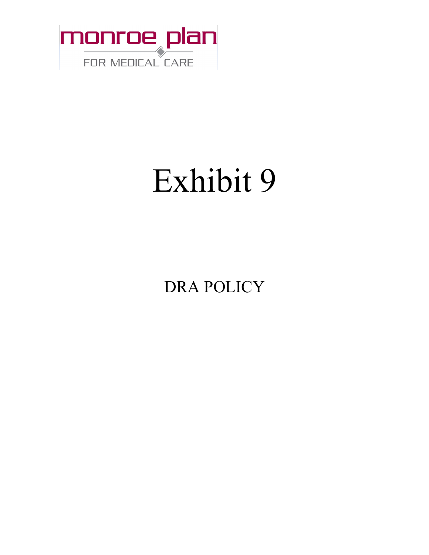

# Exhibit 9

DRA POLICY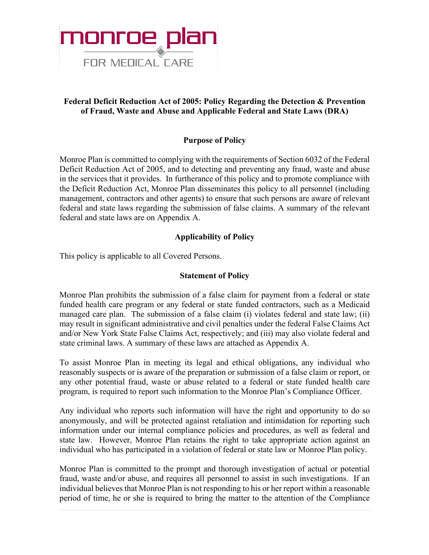

#### **Federal Deficit Reduction Act of 2005: Policy Regarding the Detection & Prevention of Fraud, Waste and Abuse and Applicable Federal and State Laws (DRA)**

#### **Purpose of Policy**

Monroe Plan is committed to complying with the requirements of Section 6032 of the Federal Deficit Reduction Act of 2005, and to detecting and preventing any fraud, waste and abuse in the services that it provides. In furtherance of this policy and to promote compliance with the Deficit Reduction Act, Monroe Plan disseminates this policy to all personnel (including management, contractors and other agents) to ensure that such persons are aware of relevant federal and state laws regarding the submission of false claims. A summary of the relevant federal and state laws are on Appendix A.

#### **Applicability of Policy**

This policy is applicable to all Covered Persons.

#### **Statement of Policy**

Monroe Plan prohibits the submission of a false claim for payment from a federal or state funded health care program or any federal or state funded contractors, such as a Medicaid managed care plan. The submission of a false claim (i) violates federal and state law; (ii) may result in significant administrative and civil penalties under the federal False Claims Act and/or New York State False Claims Act, respectively; and (iii) may also violate federal and state criminal laws. A summary of these laws are attached as Appendix A.

To assist Monroe Plan in meeting its legal and ethical obligations, any individual who reasonably suspects or is aware of the preparation or submission of a false claim or report, or any other potential fraud, waste or abuse related to a federal or state funded health care program, is required to report such information to the Monroe Plan's Compliance Officer.

Any individual who reports such information will have the right and opportunity to do so anonymously, and will be protected against retaliation and intimidation for reporting such information under our internal compliance policies and procedures, as well as federal and state law. However, Monroe Plan retains the right to take appropriate action against an individual who has participated in a violation of federal or state law or Monroe Plan policy.

Monroe Plan is committed to the prompt and thorough investigation of actual or potential fraud, waste and/or abuse, and requires all personnel to assist in such investigations. If an individual believes that Monroe Plan is not responding to his or her report within a reasonable period of time, he or she is required to bring the matter to the attention of the Compliance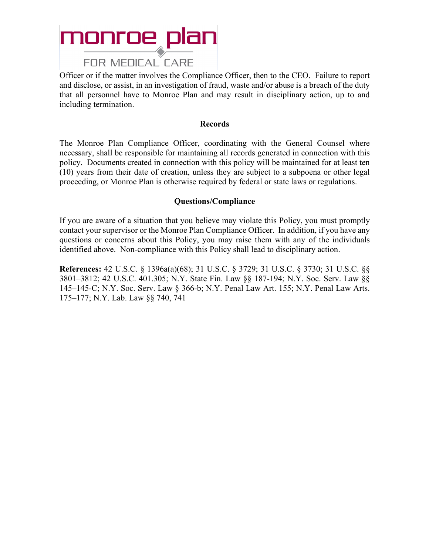### monroe plan **FOR MEDICAL CARE**

### Officer or if the matter involves the Compliance Officer, then to the CEO. Failure to report

and disclose, or assist, in an investigation of fraud, waste and/or abuse is a breach of the duty that all personnel have to Monroe Plan and may result in disciplinary action, up to and including termination.

#### **Records**

The Monroe Plan Compliance Officer, coordinating with the General Counsel where necessary, shall be responsible for maintaining all records generated in connection with this policy. Documents created in connection with this policy will be maintained for at least ten (10) years from their date of creation, unless they are subject to a subpoena or other legal proceeding, or Monroe Plan is otherwise required by federal or state laws or regulations.

#### **Questions/Compliance**

If you are aware of a situation that you believe may violate this Policy, you must promptly contact your supervisor or the Monroe Plan Compliance Officer. In addition, if you have any questions or concerns about this Policy, you may raise them with any of the individuals identified above. Non-compliance with this Policy shall lead to disciplinary action.

**References:** 42 U.S.C. § 1396a(a)(68); 31 U.S.C. § 3729; 31 U.S.C. § 3730; 31 U.S.C. §§ 3801–3812; 42 U.S.C. 401.305; N.Y. State Fin. Law §§ 187-194; N.Y. Soc. Serv. Law §§ 145–145-C; N.Y. Soc. Serv. Law § 366-b; N.Y. Penal Law Art. 155; N.Y. Penal Law Arts. 175–177; N.Y. Lab. Law §§ 740, 741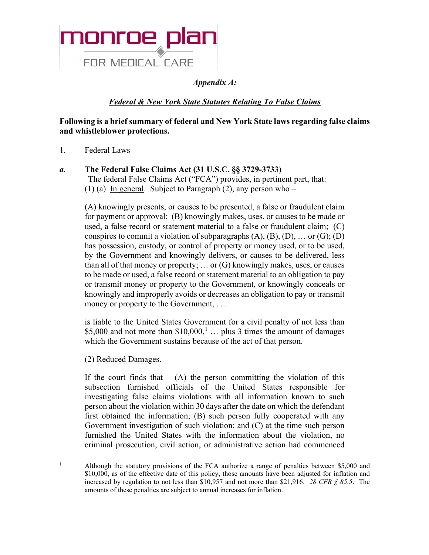

*Appendix A:* 

#### *Federal & New York State Statutes Relating To False Claims*

#### **Following is a brief summary of federal and New York State laws regarding false claims and whistleblower protections.**

1. Federal Laws

#### *a.* **The Federal False Claims Act (31 U.S.C. §§ 3729-3733)**

The federal False Claims Act ("FCA") provides, in pertinent part, that: (1) (a) In general. Subject to Paragraph  $(2)$ , any person who –

(A) knowingly presents, or causes to be presented, a false or fraudulent claim for payment or approval; (B) knowingly makes, uses, or causes to be made or used, a false record or statement material to a false or fraudulent claim; (C) conspires to commit a violation of subparagraphs  $(A)$ ,  $(B)$ ,  $(D)$ , ... or  $(G)$ ;  $(D)$ has possession, custody, or control of property or money used, or to be used, by the Government and knowingly delivers, or causes to be delivered, less than all of that money or property; ... or  $(G)$  knowingly makes, uses, or causes to be made or used, a false record or statement material to an obligation to pay or transmit money or property to the Government, or knowingly conceals or knowingly and improperly avoids or decreases an obligation to pay or transmit money or property to the Government, . . .

is liable to the United States Government for a civil penalty of not less than \$5,000 and not more than  $$10,000$  $$10,000$  $$10,000$ ,<sup>1</sup> ... plus 3 times the amount of damages which the Government sustains because of the act of that person.

(2) Reduced Damages.

If the court finds that  $-$  (A) the person committing the violation of this subsection furnished officials of the United States responsible for investigating false claims violations with all information known to such person about the violation within 30 days after the date on which the defendant first obtained the information; (B) such person fully cooperated with any Government investigation of such violation; and (C) at the time such person furnished the United States with the information about the violation, no criminal prosecution, civil action, or administrative action had commenced

<span id="page-50-0"></span><sup>&</sup>lt;sup>1</sup> Although the statutory provisions of the FCA authorize a range of penalties between \$5,000 and \$10,000, as of the effective date of this policy, those amounts have been adjusted for inflation and increased by regulation to not less than \$10,957 and not more than \$21,916. *28 CFR § 85.5*. The amounts of these penalties are subject to annual increases for inflation.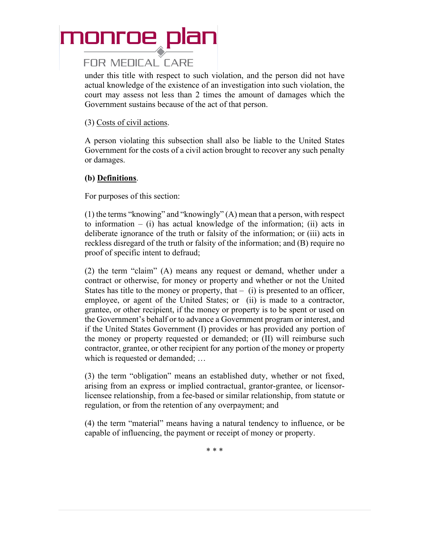#### **FOR MEDICAL CARE**

under this title with respect to such violation, and the person did not have actual knowledge of the existence of an investigation into such violation, the court may assess not less than 2 times the amount of damages which the Government sustains because of the act of that person.

#### (3) Costs of civil actions.

A person violating this subsection shall also be liable to the United States Government for the costs of a civil action brought to recover any such penalty or damages.

#### **(b) Definitions**.

For purposes of this section:

(1) the terms "knowing" and "knowingly" (A) mean that a person, with respect to information – (i) has actual knowledge of the information; (ii) acts in deliberate ignorance of the truth or falsity of the information; or (iii) acts in reckless disregard of the truth or falsity of the information; and (B) require no proof of specific intent to defraud;

(2) the term "claim" (A) means any request or demand, whether under a contract or otherwise, for money or property and whether or not the United States has title to the money or property, that  $-$  (i) is presented to an officer, employee, or agent of the United States; or (ii) is made to a contractor, grantee, or other recipient, if the money or property is to be spent or used on the Government's behalf or to advance a Government program or interest, and if the United States Government (I) provides or has provided any portion of the money or property requested or demanded; or (II) will reimburse such contractor, grantee, or other recipient for any portion of the money or property which is requested or demanded; …

(3) the term "obligation" means an established duty, whether or not fixed, arising from an express or implied contractual, grantor-grantee, or licensorlicensee relationship, from a fee-based or similar relationship, from statute or regulation, or from the retention of any overpayment; and

(4) the term "material" means having a natural tendency to influence, or be capable of influencing, the payment or receipt of money or property.

\* \* \*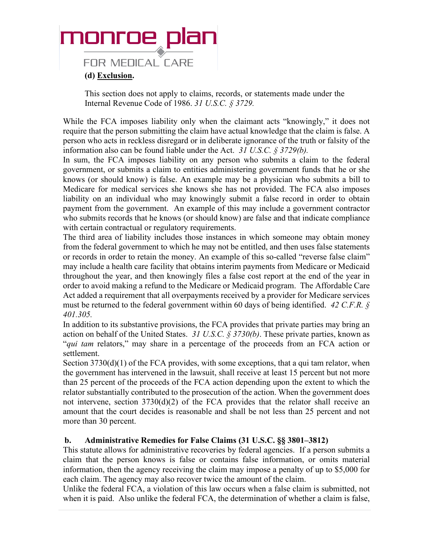**FOR MEDICAL CARE** 

#### **(d) Exclusion.**

This section does not apply to claims, records, or statements made under the Internal Revenue Code of 1986. *31 U.S.C. § 3729.*

While the FCA imposes liability only when the claimant acts "knowingly," it does not require that the person submitting the claim have actual knowledge that the claim is false. A person who acts in reckless disregard or in deliberate ignorance of the truth or falsity of the information also can be found liable under the Act. *31 U.S.C. § 3729(b).*

In sum, the FCA imposes liability on any person who submits a claim to the federal government, or submits a claim to entities administering government funds that he or she knows (or should know) is false. An example may be a physician who submits a bill to Medicare for medical services she knows she has not provided. The FCA also imposes liability on an individual who may knowingly submit a false record in order to obtain payment from the government. An example of this may include a government contractor who submits records that he knows (or should know) are false and that indicate compliance with certain contractual or regulatory requirements.

The third area of liability includes those instances in which someone may obtain money from the federal government to which he may not be entitled, and then uses false statements or records in order to retain the money. An example of this so-called "reverse false claim" may include a health care facility that obtains interim payments from Medicare or Medicaid throughout the year, and then knowingly files a false cost report at the end of the year in order to avoid making a refund to the Medicare or Medicaid program. The Affordable Care Act added a requirement that all overpayments received by a provider for Medicare services must be returned to the federal government within 60 days of being identified. *42 C.F.R. § 401.305.*

In addition to its substantive provisions, the FCA provides that private parties may bring an action on behalf of the United States. *31 U.S.C. § 3730(b)*. These private parties, known as "*qui tam* relators," may share in a percentage of the proceeds from an FCA action or settlement.

Section  $3730(d)(1)$  of the FCA provides, with some exceptions, that a qui tam relator, when the government has intervened in the lawsuit, shall receive at least 15 percent but not more than 25 percent of the proceeds of the FCA action depending upon the extent to which the relator substantially contributed to the prosecution of the action. When the government does not intervene, section 3730(d)(2) of the FCA provides that the relator shall receive an amount that the court decides is reasonable and shall be not less than 25 percent and not more than 30 percent.

#### **b. Administrative Remedies for False Claims (31 U.S.C. §§ 3801–3812)**

This statute allows for administrative recoveries by federal agencies. If a person submits a claim that the person knows is false or contains false information, or omits material information, then the agency receiving the claim may impose a penalty of up to \$5,000 for each claim. The agency may also recover twice the amount of the claim.

Unlike the federal FCA, a violation of this law occurs when a false claim is submitted, not when it is paid. Also unlike the federal FCA, the determination of whether a claim is false,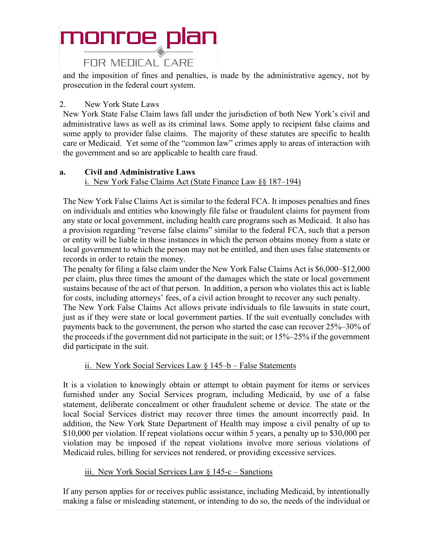#### **FOR MEDICAL CARE**

and the imposition of fines and penalties, is made by the administrative agency, not by prosecution in the federal court system.

#### 2. New York State Laws

New York State False Claim laws fall under the jurisdiction of both New York's civil and administrative laws as well as its criminal laws. Some apply to recipient false claims and some apply to provider false claims. The majority of these statutes are specific to health care or Medicaid. Yet some of the "common law" crimes apply to areas of interaction with the government and so are applicable to health care fraud.

#### **a. Civil and Administrative Laws**

i. New York False Claims Act (State Finance Law §§ 187–194)

The New York False Claims Act is similar to the federal FCA. It imposes penalties and fines on individuals and entities who knowingly file false or fraudulent claims for payment from any state or local government, including health care programs such as Medicaid. It also has a provision regarding "reverse false claims" similar to the federal FCA, such that a person or entity will be liable in those instances in which the person obtains money from a state or local government to which the person may not be entitled, and then uses false statements or records in order to retain the money.

The penalty for filing a false claim under the New York False Claims Act is \$6,000–\$12,000 per claim, plus three times the amount of the damages which the state or local government sustains because of the act of that person. In addition, a person who violates this act is liable for costs, including attorneys' fees, of a civil action brought to recover any such penalty.

The New York False Claims Act allows private individuals to file lawsuits in state court, just as if they were state or local government parties. If the suit eventually concludes with payments back to the government, the person who started the case can recover 25%–30% of the proceeds if the government did not participate in the suit; or 15%–25% if the government did participate in the suit.

#### ii. New York Social Services Law § 145–b – False Statements

It is a violation to knowingly obtain or attempt to obtain payment for items or services furnished under any Social Services program, including Medicaid, by use of a false statement, deliberate concealment or other fraudulent scheme or device. The state or the local Social Services district may recover three times the amount incorrectly paid. In addition, the New York State Department of Health may impose a civil penalty of up to \$10,000 per violation. If repeat violations occur within 5 years, a penalty up to \$30,000 per violation may be imposed if the repeat violations involve more serious violations of Medicaid rules, billing for services not rendered, or providing excessive services.

#### iii. New York Social Services Law  $\S$  145-c – Sanctions

If any person applies for or receives public assistance, including Medicaid, by intentionally making a false or misleading statement, or intending to do so, the needs of the individual or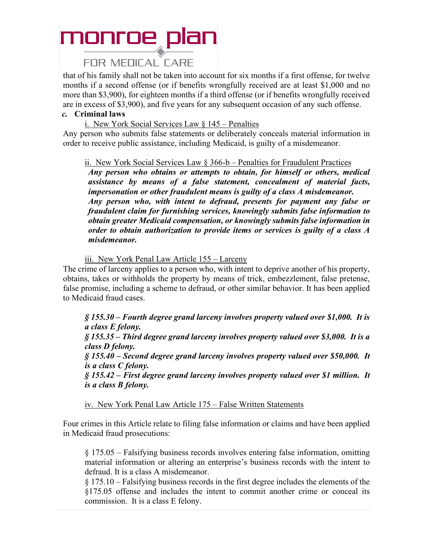#### **FOR MEDICAL CARE**

that of his family shall not be taken into account for six months if a first offense, for twelve months if a second offense (or if benefits wrongfully received are at least \$1,000 and no more than \$3,900), for eighteen months if a third offense (or if benefits wrongfully received are in excess of \$3,900), and five years for any subsequent occasion of any such offense.

#### *c.* **Criminal laws**

i. New York Social Services Law § 145 – Penalties

Any person who submits false statements or deliberately conceals material information in order to receive public assistance, including Medicaid, is guilty of a misdemeanor.

ii. New York Social Services Law § 366-b – Penalties for Fraudulent Practices

*Any person who obtains or attempts to obtain, for himself or others, medical assistance by means of a false statement, concealment of material facts, impersonation or other fraudulent means is guilty of a class A misdemeanor. Any person who, with intent to defraud, presents for payment any false or fraudulent claim for furnishing services, knowingly submits false information to obtain greater Medicaid compensation, or knowingly submits false information in order to obtain authorization to provide items or services is guilty of a class A misdemeanor.*

iii. New York Penal Law Article 155 – Larceny

The crime of larceny applies to a person who, with intent to deprive another of his property, obtains, takes or withholds the property by means of trick, embezzlement, false pretense, false promise, including a scheme to defraud, or other similar behavior. It has been applied to Medicaid fraud cases.

*§ 155.30 – Fourth degree grand larceny involves property valued over \$1,000. It is a class E felony. § 155.35 – Third degree grand larceny involves property valued over \$3,000. It is a class D felony. § 155.40 – Second degree grand larceny involves property valued over \$50,000. It is a class C felony. § 155.42 – First degree grand larceny involves property valued over \$1 million. It is a class B felony.*

iv. New York Penal Law Article 175 – False Written Statements

Four crimes in this Article relate to filing false information or claims and have been applied in Medicaid fraud prosecutions:

§ 175.05 – Falsifying business records involves entering false information, omitting material information or altering an enterprise's business records with the intent to defraud. It is a class A misdemeanor.

§ 175.10 – Falsifying business records in the first degree includes the elements of the §175.05 offense and includes the intent to commit another crime or conceal its commission. It is a class E felony.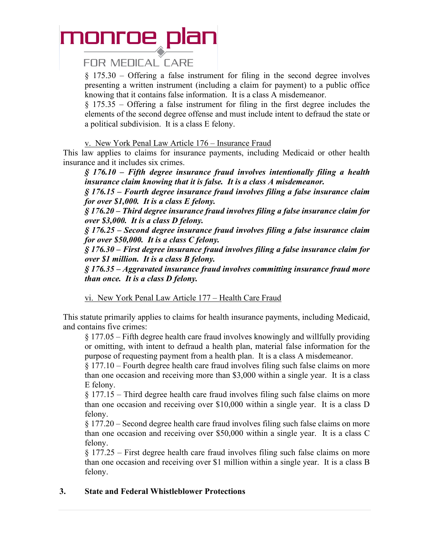#### **FOR MEDICAL CARE**

§ 175.30 – Offering a false instrument for filing in the second degree involves presenting a written instrument (including a claim for payment) to a public office knowing that it contains false information. It is a class A misdemeanor.

§ 175.35 – Offering a false instrument for filing in the first degree includes the elements of the second degree offense and must include intent to defraud the state or a political subdivision. It is a class E felony.

v. New York Penal Law Article 176 – Insurance Fraud

This law applies to claims for insurance payments, including Medicaid or other health insurance and it includes six crimes.

*§ 176.10 – Fifth degree insurance fraud involves intentionally filing a health insurance claim knowing that it is false. It is a class A misdemeanor.*

*§ 176.15 – Fourth degree insurance fraud involves filing a false insurance claim for over \$1,000. It is a class E felony.*

*§ 176.20 – Third degree insurance fraud involves filing a false insurance claim for over \$3,000. It is a class D felony.*

*§ 176.25 – Second degree insurance fraud involves filing a false insurance claim for over \$50,000. It is a class C felony.*

*§ 176.30 – First degree insurance fraud involves filing a false insurance claim for over \$1 million. It is a class B felony.*

*§ 176.35 – Aggravated insurance fraud involves committing insurance fraud more than once. It is a class D felony.*

vi. New York Penal Law Article 177 – Health Care Fraud

This statute primarily applies to claims for health insurance payments, including Medicaid, and contains five crimes:

§ 177.05 – Fifth degree health care fraud involves knowingly and willfully providing or omitting, with intent to defraud a health plan, material false information for the purpose of requesting payment from a health plan. It is a class A misdemeanor.

§ 177.10 – Fourth degree health care fraud involves filing such false claims on more than one occasion and receiving more than \$3,000 within a single year. It is a class E felony.

§ 177.15 – Third degree health care fraud involves filing such false claims on more than one occasion and receiving over \$10,000 within a single year. It is a class D felony.

§ 177.20 – Second degree health care fraud involves filing such false claims on more than one occasion and receiving over \$50,000 within a single year. It is a class C felony.

§ 177.25 – First degree health care fraud involves filing such false claims on more than one occasion and receiving over \$1 million within a single year. It is a class B felony.

#### **3. State and Federal Whistleblower Protections**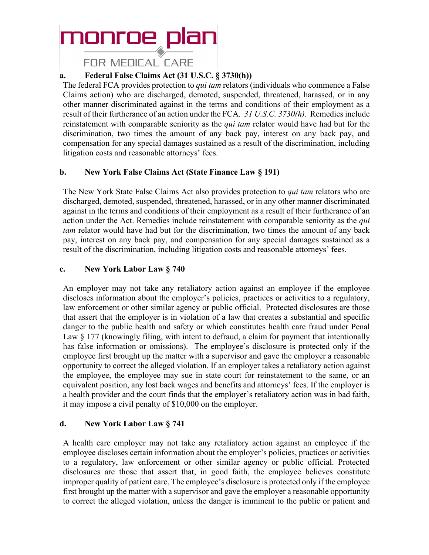**FOR MEDICAL CARE** 

#### **a. Federal False Claims Act (31 U.S.C. § 3730(h))**

The federal FCA provides protection to *qui tam* relators (individuals who commence a False Claims action) who are discharged, demoted, suspended, threatened, harassed, or in any other manner discriminated against in the terms and conditions of their employment as a result of their furtherance of an action under the FCA. *31 U.S.C. 3730(h).* Remedies include reinstatement with comparable seniority as the *qui tam* relator would have had but for the discrimination, two times the amount of any back pay, interest on any back pay, and compensation for any special damages sustained as a result of the discrimination, including litigation costs and reasonable attorneys' fees.

#### **b. New York False Claims Act (State Finance Law § 191)**

The New York State False Claims Act also provides protection to *qui tam* relators who are discharged, demoted, suspended, threatened, harassed, or in any other manner discriminated against in the terms and conditions of their employment as a result of their furtherance of an action under the Act. Remedies include reinstatement with comparable seniority as the *qui tam* relator would have had but for the discrimination, two times the amount of any back pay, interest on any back pay, and compensation for any special damages sustained as a result of the discrimination, including litigation costs and reasonable attorneys' fees.

#### **c. New York Labor Law § 740**

An employer may not take any retaliatory action against an employee if the employee discloses information about the employer's policies, practices or activities to a regulatory, law enforcement or other similar agency or public official. Protected disclosures are those that assert that the employer is in violation of a law that creates a substantial and specific danger to the public health and safety or which constitutes health care fraud under Penal Law § 177 (knowingly filing, with intent to defraud, a claim for payment that intentionally has false information or omissions). The employee's disclosure is protected only if the employee first brought up the matter with a supervisor and gave the employer a reasonable opportunity to correct the alleged violation. If an employer takes a retaliatory action against the employee, the employee may sue in state court for reinstatement to the same, or an equivalent position, any lost back wages and benefits and attorneys' fees. If the employer is a health provider and the court finds that the employer's retaliatory action was in bad faith, it may impose a civil penalty of \$10,000 on the employer.

#### **d. New York Labor Law § 741**

A health care employer may not take any retaliatory action against an employee if the employee discloses certain information about the employer's policies, practices or activities to a regulatory, law enforcement or other similar agency or public official. Protected disclosures are those that assert that, in good faith, the employee believes constitute improper quality of patient care. The employee's disclosure is protected only if the employee first brought up the matter with a supervisor and gave the employer a reasonable opportunity to correct the alleged violation, unless the danger is imminent to the public or patient and